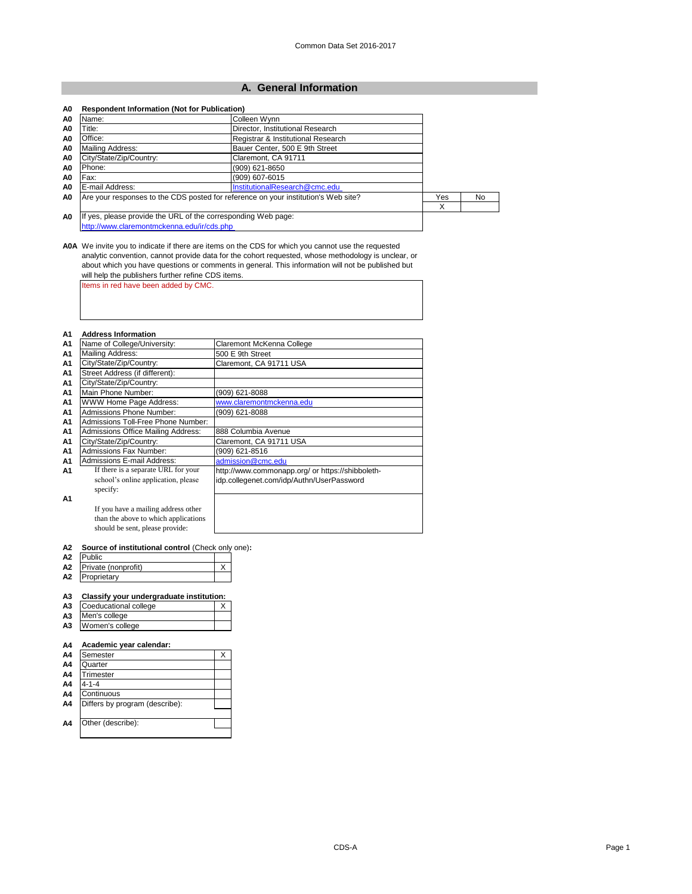|  | A0 Respondent Information (Not for Publication) |  |  |  |
|--|-------------------------------------------------|--|--|--|
|--|-------------------------------------------------|--|--|--|

#### **A1 Address Information**

| A0             | Name:                                                                              | Colleen Wynn                       |     |    |
|----------------|------------------------------------------------------------------------------------|------------------------------------|-----|----|
| A0             | Title:                                                                             | Director, Institutional Research   |     |    |
| A0             | Office:                                                                            | Registrar & Institutional Research |     |    |
| A0             | Mailing Address:                                                                   | Bauer Center, 500 E 9th Street     |     |    |
| A <sub>0</sub> | City/State/Zip/Country:                                                            | Claremont, CA 91711                |     |    |
| A0             | Phone:                                                                             | (909) 621-8650                     |     |    |
| A0             | Fax:                                                                               | (909) 607-6015                     |     |    |
| A <sub>0</sub> | E-mail Address:                                                                    | InstitutionalResearch@cmc.edu      |     |    |
| A0             | Are your responses to the CDS posted for reference on your institution's Web site? |                                    | Yes | No |
|                |                                                                                    |                                    | х   |    |
| A <sub>0</sub> | If yes, please provide the URL of the corresponding Web page:                      |                                    |     |    |
|                | http://www.claremontmckenna.edu/ir/cds.php                                         |                                    |     |    |

| A2 | <b>Public</b>          |  |
|----|------------------------|--|
|    | A2 Private (nonprofit) |  |
| A2 | Proprietary            |  |

| A <sub>1</sub> | Name of College/University:               | Claremont McKenna College                        |
|----------------|-------------------------------------------|--------------------------------------------------|
| A1             | Mailing Address:                          | 500 E 9th Street                                 |
| A <sub>1</sub> | City/State/Zip/Country:                   | Claremont, CA 91711 USA                          |
| A <sub>1</sub> | Street Address (if different):            |                                                  |
| A <sub>1</sub> | City/State/Zip/Country:                   |                                                  |
| A1             | Main Phone Number:                        | (909) 621-8088                                   |
| A <sub>1</sub> | <b>WWW Home Page Address:</b>             | www.claremontmckenna.edu                         |
| A1             | <b>Admissions Phone Number:</b>           | (909) 621-8088                                   |
| A <sub>1</sub> | Admissions Toll-Free Phone Number:        |                                                  |
| A <sub>1</sub> | <b>Admissions Office Mailing Address:</b> | 888 Columbia Avenue                              |
| A <sub>1</sub> | City/State/Zip/Country:                   | Claremont, CA 91711 USA                          |
| A <sub>1</sub> | <b>Admissions Fax Number:</b>             | (909) 621-8516                                   |
| A1             | <b>Admissions E-mail Address:</b>         | admission@cmc.edu                                |
| A1             | If there is a separate URL for your       | http://www.commonapp.org/ or https://shibboleth- |
|                | school's online application, please       | idp.collegenet.com/idp/Authn/UserPassword        |
|                | specify:                                  |                                                  |
| A <sub>1</sub> |                                           |                                                  |
|                | If you have a mailing address other       |                                                  |
|                | than the above to which applications      |                                                  |
|                | should be sent, please provide:           |                                                  |

### **A3 Classify your undergraduate institution:**

| A3 | Coeducational college |  |
|----|-----------------------|--|
|    | A3 Men's college      |  |
|    | A3   Women's college  |  |

#### **A4 Academic year calendar:**

**A0A** We invite you to indicate if there are items on the CDS for which you cannot use the requested analytic convention, cannot provide data for the cohort requested, whose methodology is unclear, or about which you have questions or comments in general. This information will not be published but will help the publishers further refine CDS items.

| .  |          |  |
|----|----------|--|
| A4 | Semester |  |
| A4 | Quarter  |  |
| A4 | rimester |  |
|    |          |  |

| A4             | $4 - 1 - 4$                    |  |
|----------------|--------------------------------|--|
| A <sub>4</sub> | Continuous                     |  |
| A4             | Differs by program (describe): |  |
|                |                                |  |
| A4             | Other (describe):              |  |
|                |                                |  |

CDS-A Page 1 - Page 1 - Page 1 - Page 1 - Page 1 - Page 1 - Page 1 - Page 1 - Page 1

**A2 Source of institutional control** (Check only one)**:**

### **A. General Information**

Items in red have been added by CMC.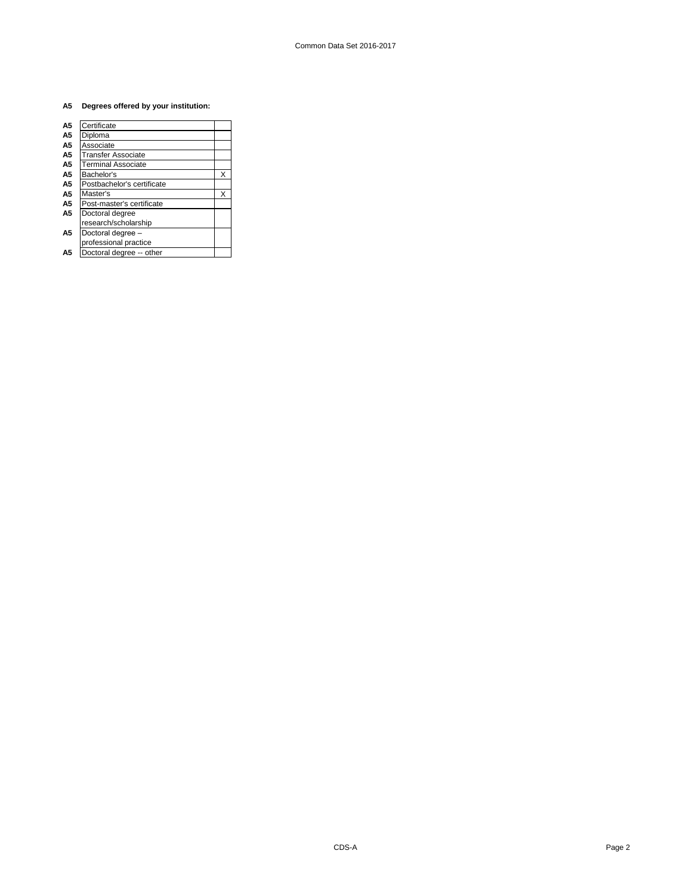### **A5 Degrees offered by your institution:**

| Certificate                |   |
|----------------------------|---|
| Diploma                    |   |
| Associate                  |   |
| <b>Transfer Associate</b>  |   |
| Terminal Associate         |   |
| Bachelor's                 | X |
| Postbachelor's certificate |   |
| Master's                   | x |
| Post-master's certificate  |   |
| Doctoral degree            |   |
| research/scholarship       |   |
| Doctoral degree -          |   |
| professional practice      |   |
| Doctoral degree -- other   |   |
|                            |   |

CDS-A Page 2 - Page 2 - Page 2 - Page 2 - Page 2 - Page 2 - Page 2 - Page 2 - Page 2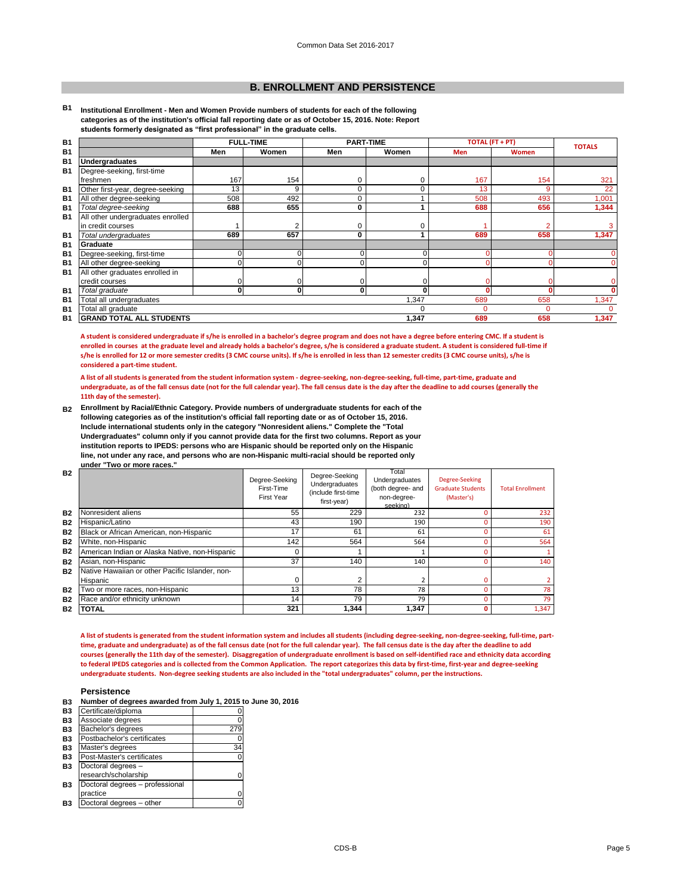### **Persistence**

|  |  | B3 Number of degrees awarded from July 1, 2015 to June 30, 2016 |
|--|--|-----------------------------------------------------------------|
|--|--|-----------------------------------------------------------------|

| Β3        | Certificate/diploma             |     |
|-----------|---------------------------------|-----|
| B3        | Associate degrees               | ი   |
| <b>B3</b> | Bachelor's degrees              | 279 |
| B3        | Postbachelor's certificates     |     |
| B3        | Master's degrees                | 34  |
| <b>B3</b> | Post-Master's certificates      |     |
| <b>B3</b> | Doctoral degrees -              |     |
|           | research/scholarship            |     |
| <b>B3</b> | Doctoral degrees - professional |     |
|           | practice                        |     |
| Β3        | Doctoral degrees - other        |     |

### **B. ENROLLMENT AND PERSISTENCE**

**B1 Institutional Enrollment - Men and Women Provide numbers of students for each of the following categories as of the institution's official fall reporting date or as of October 15, 2016. Note: Report students formerly designated as "first professional" in the graduate cells.**

| <b>B1</b> |                                   | <b>FULL-TIME</b> |              | <b>PART-TIME</b> |       | <b>TOTAL (FT + PT)</b> |              | <b>TOTALS</b> |
|-----------|-----------------------------------|------------------|--------------|------------------|-------|------------------------|--------------|---------------|
| <b>B1</b> |                                   | Men              | Women        | Men              | Women | <b>Men</b>             | <b>Women</b> |               |
| <b>B1</b> | <b>Undergraduates</b>             |                  |              |                  |       |                        |              |               |
| <b>B1</b> | Degree-seeking, first-time        |                  |              |                  |       |                        |              |               |
|           | freshmen                          | 167              | 154          | 0                | 0     | 167                    | 154          | 321           |
| <b>B1</b> | Other first-year, degree-seeking  | 13               | 9            | 0                | 0     | 13                     | 9            | 22            |
| <b>B1</b> | All other degree-seeking          | 508              | 492          | 0                |       | 508                    | 493          | 1,001         |
| <b>B1</b> | Total degree-seeking              | 688              | 655          | $\mathbf 0$      |       | 688                    | 656          | 1,344         |
| <b>B1</b> | All other undergraduates enrolled |                  |              |                  |       |                        |              |               |
|           | in credit courses                 |                  | 2            | 0                | 0     |                        |              | 3             |
| <b>B1</b> | Total undergraduates              | 689              | 657          | $\mathbf 0$      |       | 689                    | 658          | 1,347         |
| <b>B1</b> | Graduate                          |                  |              |                  |       |                        |              |               |
| <b>B1</b> | Degree-seeking, first-time        | $\Omega$         | $\Omega$     | 0                | ሰ     |                        |              | 0             |
| <b>B1</b> | All other degree-seeking          |                  | $\Omega$     | 0                | n.    |                        |              | 0             |
| <b>B1</b> | All other graduates enrolled in   |                  |              |                  |       |                        |              |               |
|           | credit courses                    |                  | ΩI           | 0                |       |                        |              | 0             |
| <b>B1</b> | Total graduate                    | 0                | $\mathbf{0}$ | 0                | ŋ     |                        |              | O.            |
| <b>B1</b> | Total all undergraduates          |                  |              |                  | 1,347 | 689                    | 658          | 1,347         |
| <b>B1</b> | Total all graduate                |                  |              |                  | 0     |                        | 0            | $\Omega$      |
| <b>B1</b> | <b>GRAND TOTAL ALL STUDENTS</b>   |                  |              |                  | 1,347 | 689                    | 658          | 1,347         |

**A student is considered undergraduate if s/he is enrolled in a bachelor's degree program and does not have a degree before entering CMC. If a student is enrolled in courses at the graduate level and already holds a bachelor's degree, s/he is considered a graduate student. A student is considered full-time if s/he is enrolled for 12 or more semester credits (3 CMC course units). If s/he is enrolled in less than 12 semester credits (3 CMC course units), s/he is considered a part-time student.**

**A list of all students is generated from the student information system - degree-seeking, non-degree-seeking, full-time, part-time, graduate and undergraduate, as of the fall census date (not for the full calendar year). The fall census date is the day after the deadline to add courses (generally the 11th day of the semester).** 

**B2 Enrollment by Racial/Ethnic Category. Provide numbers of undergraduate students for each of the following categories as of the institution's official fall reporting date or as of October 15, 2016. Include international students only in the category "Nonresident aliens." Complete the "Total Undergraduates" column only if you cannot provide data for the first two columns. Report as your institution reports to IPEDS: persons who are Hispanic should be reported only on the Hispanic line, not under any race, and persons who are non-Hispanic multi-racial should be reported only under "Two or more races."** 

| <b>B2</b> |                                                 | Degree-Seeking<br>First-Time<br><b>First Year</b> | Degree-Seeking<br>Undergraduates<br>(include first-time<br>first-year) | Total<br>Undergraduates<br>(both degree- and<br>non-degree-<br>seeking) | Degree-Seeking<br><b>Graduate Students</b><br>(Master's) | <b>Total Enrollment</b> |
|-----------|-------------------------------------------------|---------------------------------------------------|------------------------------------------------------------------------|-------------------------------------------------------------------------|----------------------------------------------------------|-------------------------|
| <b>B2</b> | Nonresident aliens                              | 55                                                | 229                                                                    | 232                                                                     |                                                          | 232                     |
| <b>B2</b> | Hispanic/Latino                                 | 43                                                | 190                                                                    | 190                                                                     |                                                          | 190                     |
| <b>B2</b> | Black or African American, non-Hispanic         | 17                                                | 61                                                                     | 61                                                                      |                                                          | 61                      |
| <b>B2</b> | White, non-Hispanic                             | 142                                               | 564                                                                    | 564                                                                     |                                                          | 564                     |
| <b>B2</b> | American Indian or Alaska Native, non-Hispanic  |                                                   |                                                                        |                                                                         |                                                          |                         |
| <b>B2</b> | Asian, non-Hispanic                             | 37                                                | 140                                                                    | 140                                                                     |                                                          | 140                     |
| <b>B2</b> | Native Hawaiian or other Pacific Islander, non- |                                                   |                                                                        |                                                                         |                                                          |                         |
|           | Hispanic                                        |                                                   |                                                                        |                                                                         |                                                          |                         |
| <b>B2</b> | Two or more races, non-Hispanic                 | 13                                                | 78                                                                     | 78                                                                      |                                                          | 78                      |
| <b>B2</b> | Race and/or ethnicity unknown                   | 14                                                | 79                                                                     | 79                                                                      |                                                          | 79                      |
| <b>B2</b> | <b>TOTAL</b>                                    | 321                                               | 1,344                                                                  | 1,347                                                                   | Ω                                                        | 1,347                   |

**A list of students is generated from the student information system and includes all students (including degree-seeking, non-degree-seeking, full-time, parttime, graduate and undergraduate) as of the fall census date (not for the full calendar year). The fall census date is the day after the deadline to add courses (generally the 11th day of the semester). Disaggregation of undergraduate enrollment is based on self-identified race and ethnicity data according** 

**to federal IPEDS categories and is collected from the Common Application. The report categorizes this data by first-time, first-year and degree-seeking undergraduate students. Non-degree seeking students are also included in the "total undergraduates" column, per the instructions.**

CDS-B Page 5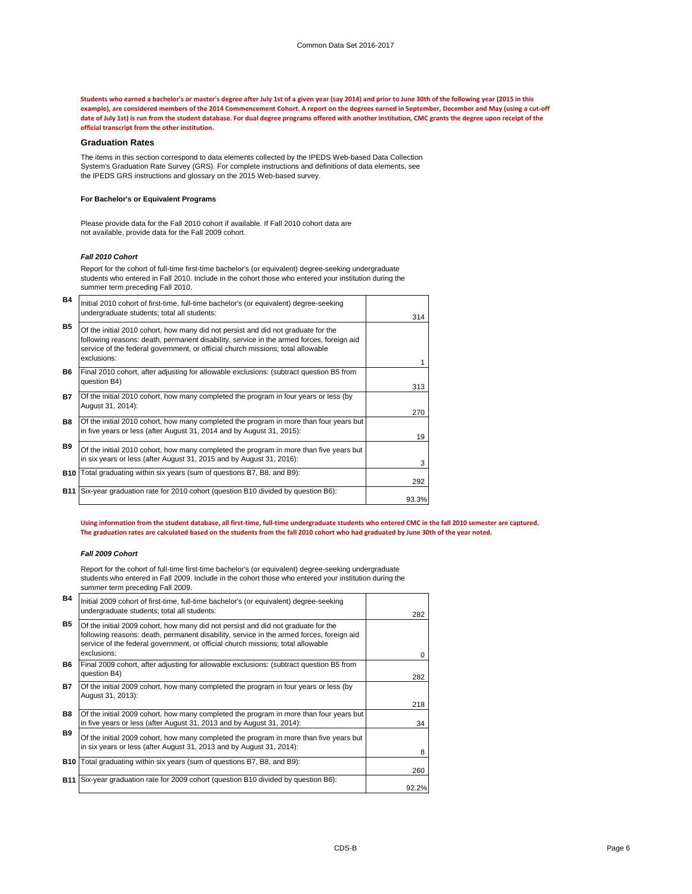#### **Graduation Rates**

#### *Fall 2010 Cohort*

#### *Fall 2009 Cohort*

**Students who earned a bachelor's or master's degree after July 1st of a given year (say 2014) and prior to June 30th of the following year (2015 in this example), are considered members of the 2014 Commencement Cohort. A report on the degrees earned in September, December and May (using a cut-off date of July 1st) is run from the student database. For dual degree programs offered with another institution, CMC grants the degree upon receipt of the official transcript from the other institution.** 

The items in this section correspond to data elements collected by the IPEDS Web-based Data Collection System's Graduation Rate Survey (GRS). For complete instructions and definitions of data elements, see the IPEDS GRS instructions and glossary on the 2015 Web-based survey.

| <b>B4</b>  | Initial 2010 cohort of first-time, full-time bachelor's (or equivalent) degree-seeking<br>undergraduate students; total all students:                                                                                                                                           | 314   |
|------------|---------------------------------------------------------------------------------------------------------------------------------------------------------------------------------------------------------------------------------------------------------------------------------|-------|
| <b>B5</b>  | Of the initial 2010 cohort, how many did not persist and did not graduate for the<br>following reasons: death, permanent disability, service in the armed forces, foreign aid<br>service of the federal government, or official church missions; total allowable<br>exclusions: |       |
| <b>B6</b>  | Final 2010 cohort, after adjusting for allowable exclusions: (subtract question B5 from<br>question B4)                                                                                                                                                                         | 313   |
| <b>B7</b>  | Of the initial 2010 cohort, how many completed the program in four years or less (by<br>August 31, 2014):                                                                                                                                                                       | 270   |
| <b>B8</b>  | Of the initial 2010 cohort, how many completed the program in more than four years but<br>in five years or less (after August 31, 2014 and by August 31, 2015):                                                                                                                 | 19    |
| <b>B9</b>  | Of the initial 2010 cohort, how many completed the program in more than five years but<br>in six years or less (after August 31, 2015 and by August 31, 2016):                                                                                                                  | 3     |
| <b>B10</b> | Total graduating within six years (sum of questions B7, B8, and B9):                                                                                                                                                                                                            | 292   |
| <b>B11</b> | Six-year graduation rate for 2010 cohort (question B10 divided by question B6):                                                                                                                                                                                                 | 93.3% |

#### **For Bachelor's or Equivalent Programs**

Report for the cohort of full-time first-time bachelor's (or equivalent) degree-seeking undergraduate students who entered in Fall 2009. Include in the cohort those who entered your institution during the summer term preceding Fall 2009.

Please provide data for the Fall 2010 cohort if available. If Fall 2010 cohort data are not available, provide data for the Fall 2009 cohort.

Report for the cohort of full-time first-time bachelor's (or equivalent) degree-seeking undergraduate students who entered in Fall 2010. Include in the cohort those who entered your institution during the summer term preceding Fall 2010.

| <b>B4</b>  | Initial 2009 cohort of first-time, full-time bachelor's (or equivalent) degree-seeking<br>undergraduate students; total all students:                                                                                                                                           |       |
|------------|---------------------------------------------------------------------------------------------------------------------------------------------------------------------------------------------------------------------------------------------------------------------------------|-------|
| <b>B5</b>  | Of the initial 2009 cohort, how many did not persist and did not graduate for the<br>following reasons: death, permanent disability, service in the armed forces, foreign aid<br>service of the federal government, or official church missions; total allowable<br>exclusions: | 282   |
| <b>B6</b>  | Final 2009 cohort, after adjusting for allowable exclusions: (subtract question B5 from<br>question B4)                                                                                                                                                                         | 282   |
| <b>B7</b>  | Of the initial 2009 cohort, how many completed the program in four years or less (by<br>August 31, 2013):                                                                                                                                                                       | 218   |
| <b>B8</b>  | Of the initial 2009 cohort, how many completed the program in more than four years but<br>in five years or less (after August 31, 2013 and by August 31, 2014):                                                                                                                 | 34    |
| <b>B9</b>  | Of the initial 2009 cohort, how many completed the program in more than five years but<br>in six years or less (after August 31, 2013 and by August 31, 2014):                                                                                                                  | 8     |
| <b>B10</b> | Total graduating within six years (sum of questions B7, B8, and B9):                                                                                                                                                                                                            | 260   |
| B11        | Six-year graduation rate for 2009 cohort (question B10 divided by question B6):                                                                                                                                                                                                 | 92.2% |

**Using information from the student database, all first-time, full-time undergraduate students who entered CMC in the fall 2010 semester are captured. The graduation rates are calculated based on the students from the fall 2010 cohort who had graduated by June 30th of the year noted.**

CDS-B Page 6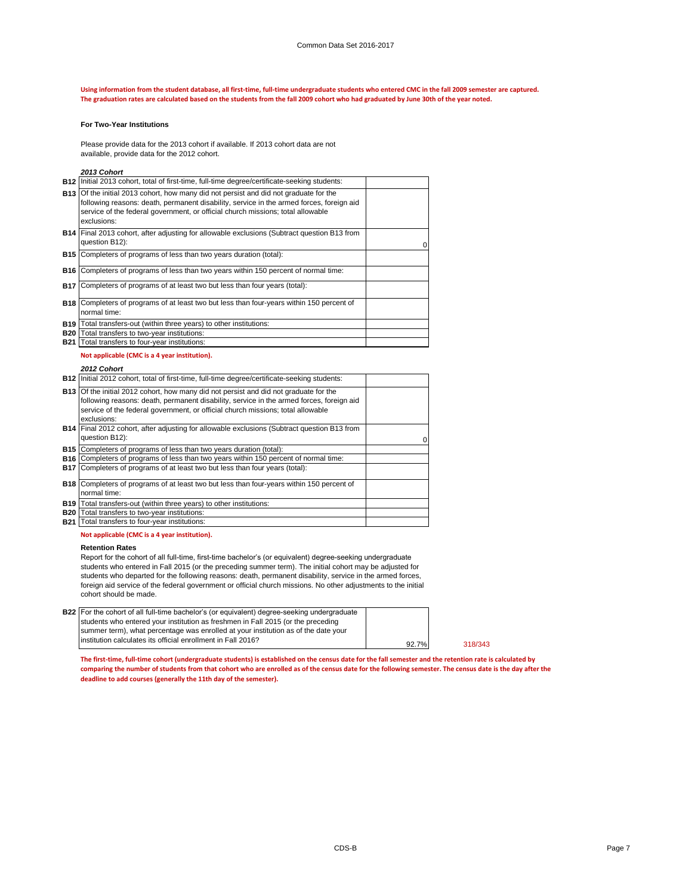#### **For Two-Year Institutions**

#### *2013 Cohort*

### *2012 Cohort*

#### **Retention Rates**

### **Not applicable (CMC is a 4 year institution).**

#### **Not applicable (CMC is a 4 year institution).**

**The first-time, full-time cohort (undergraduate students) is established on the census date for the fall semester and the retention rate is calculated by comparing the number of students from that cohort who are enrolled as of the census date for the following semester. The census date is the day after the deadline to add courses (generally the 11th day of the semester).**

| B22 For the cohort of all full-time bachelor's (or equivalent) degree-seeking undergraduate |                |
|---------------------------------------------------------------------------------------------|----------------|
| students who entered your institution as freshmen in Fall 2015 (or the preceding            |                |
| summer term), what percentage was enrolled at your institution as of the date your          |                |
| linstitution calculates its official enrollment in Fall 2016?                               | $92.7^{\circ}$ |
|                                                                                             |                |

**Using information from the student database, all first-time, full-time undergraduate students who entered CMC in the fall 2009 semester are captured. The graduation rates are calculated based on the students from the fall 2009 cohort who had graduated by June 30th of the year noted.**

|            | B12 Initial 2013 cohort, total of first-time, full-time degree/certificate-seeking students:                                                                                                                                                                                               |   |
|------------|--------------------------------------------------------------------------------------------------------------------------------------------------------------------------------------------------------------------------------------------------------------------------------------------|---|
|            | <b>B13</b> Of the initial 2013 cohort, how many did not persist and did not graduate for the<br>following reasons: death, permanent disability, service in the armed forces, foreign aid<br>service of the federal government, or official church missions; total allowable<br>exclusions: |   |
|            | <b>B14</b> Final 2013 cohort, after adjusting for allowable exclusions (Subtract question B13 from<br>question B12):                                                                                                                                                                       | 0 |
| B15        | Completers of programs of less than two years duration (total):                                                                                                                                                                                                                            |   |
| B16        | Completers of programs of less than two years within 150 percent of normal time:                                                                                                                                                                                                           |   |
| <b>B17</b> | Completers of programs of at least two but less than four years (total):                                                                                                                                                                                                                   |   |
|            | <b>B18</b> Completers of programs of at least two but less than four-years within 150 percent of<br>normal time:                                                                                                                                                                           |   |
| <b>B19</b> | Total transfers-out (within three years) to other institutions:                                                                                                                                                                                                                            |   |
| <b>B20</b> | Total transfers to two-year institutions:                                                                                                                                                                                                                                                  |   |
|            | <b>B21</b> Total transfers to four-year institutions:                                                                                                                                                                                                                                      |   |

|            | B12   Initial 2012 cohort, total of first-time, full-time degree/certificate-seeking students:                                                                                                                                                                                             |   |
|------------|--------------------------------------------------------------------------------------------------------------------------------------------------------------------------------------------------------------------------------------------------------------------------------------------|---|
|            | <b>B13</b> Of the initial 2012 cohort, how many did not persist and did not graduate for the<br>following reasons: death, permanent disability, service in the armed forces, foreign aid<br>service of the federal government, or official church missions; total allowable<br>exclusions: |   |
|            | <b>B14</b> Final 2012 cohort, after adjusting for allowable exclusions (Subtract question B13 from<br>question B12):                                                                                                                                                                       | 0 |
| <b>B15</b> | Completers of programs of less than two years duration (total):                                                                                                                                                                                                                            |   |
|            | <b>B16</b> Completers of programs of less than two years within 150 percent of normal time:                                                                                                                                                                                                |   |
|            | <b>B17</b> Completers of programs of at least two but less than four years (total):                                                                                                                                                                                                        |   |
|            | <b>B18</b> Completers of programs of at least two but less than four-years within 150 percent of                                                                                                                                                                                           |   |
|            | normal time:                                                                                                                                                                                                                                                                               |   |
|            | <b>B19</b> Total transfers-out (within three years) to other institutions:                                                                                                                                                                                                                 |   |
| <b>B20</b> | Total transfers to two-year institutions:                                                                                                                                                                                                                                                  |   |
|            | <b>B21</b> Total transfers to four-year institutions:                                                                                                                                                                                                                                      |   |

Report for the cohort of all full-time, first-time bachelor's (or equivalent) degree-seeking undergraduate students who entered in Fall 2015 (or the preceding summer term). The initial cohort may be adjusted for students who departed for the following reasons: death, permanent disability, service in the armed forces, foreign aid service of the federal government or official church missions. No other adjustments to the initial cohort should be made.

Please provide data for the 2013 cohort if available. If 2013 cohort data are not available, provide data for the 2012 cohort.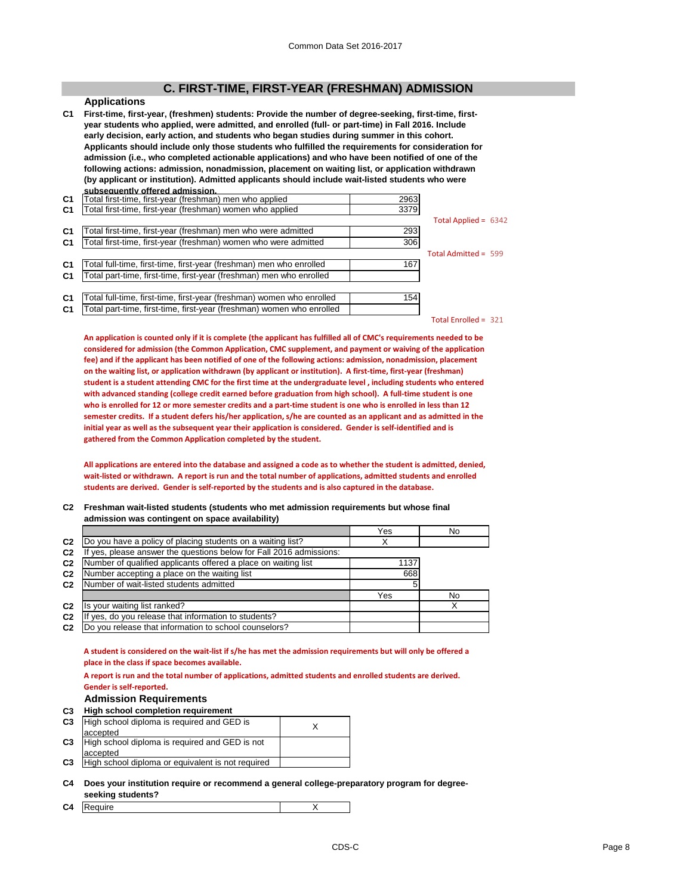### **C. FIRST-TIME, FIRST-YEAR (FRESHMAN) ADMISSION**

### **Applications**

**C1 First-time, first-year, (freshmen) students: Provide the number of degree-seeking, first-time, firstyear students who applied, were admitted, and enrolled (full- or part-time) in Fall 2016. Include early decision, early action, and students who began studies during summer in this cohort. Applicants should include only those students who fulfilled the requirements for consideration for admission (i.e., who completed actionable applications) and who have been notified of one of the following actions: admission, nonadmission, placement on waiting list, or application withdrawn (by applicant or institution). Admitted applicants should include wait-listed students who were subsequently offered admission.**

| C <sub>1</sub> | Total first-time, first-year (freshman) men who applied               | 2963 |                        |
|----------------|-----------------------------------------------------------------------|------|------------------------|
| C <sub>1</sub> | Total first-time, first-year (freshman) women who applied             | 3379 |                        |
|                |                                                                       |      | Total Applied = $6342$ |
| C1             | Total first-time, first-year (freshman) men who were admitted         | 293  |                        |
| <b>C1</b>      | Total first-time, first-year (freshman) women who were admitted       | 306  |                        |
|                |                                                                       |      | Total Admitted = 599   |
| <b>C1</b>      | Total full-time, first-time, first-year (freshman) men who enrolled   | 167  |                        |
| C1             | Total part-time, first-time, first-year (freshman) men who enrolled   |      |                        |
|                |                                                                       |      |                        |
| C <sub>1</sub> | Total full-time, first-time, first-year (freshman) women who enrolled | 154  |                        |
| C1             | Total part-time, first-time, first-year (freshman) women who enrolled |      |                        |
|                |                                                                       |      | $Total Enrolled = 221$ |

Total Enrolled = 321

**An application is counted only if it is complete (the applicant has fulfilled all of CMC's requirements needed to be considered for admission (the Common Application, CMC supplement, and payment or waiving of the application fee) and if the applicant has been notified of one of the following actions: admission, nonadmission, placement on the waiting list, or application withdrawn (by applicant or institution). A first-time, first-year (freshman) student is a student attending CMC for the first time at the undergraduate level , including students who entered with advanced standing (college credit earned before graduation from high school). A full-time student is one who is enrolled for 12 or more semester credits and a part-time student is one who is enrolled in less than 12 semester credits. If a student defers his/her application, s/he are counted as an applicant and as admitted in the initial year as well as the subsequent year their application is considered. Gender is self-identified and is gathered from the Common Application completed by the student.**

**All applications are entered into the database and assigned a code as to whether the student is admitted, denied, wait-listed or withdrawn. A report is run and the total number of applications, admitted students and enrolled students are derived. Gender is self-reported by the students and is also captured in the database.**

#### **C2 Freshman wait-listed students (students who met admission requirements but whose final admission was contingent on space availability)**

|                |                                                                  | Yes  | No |
|----------------|------------------------------------------------------------------|------|----|
| C <sub>2</sub> | Do you have a policy of placing students on a waiting list?      |      |    |
| C <sub>2</sub> | yes, please answer the questions below for Fall 2016 admissions: |      |    |
| C <sub>2</sub> | Number of qualified applicants offered a place on waiting list   | 1137 |    |
| C <sub>2</sub> | Number accepting a place on the waiting list                     | 668  |    |
| C <sub>2</sub> | Number of wait-listed students admitted                          | 5    |    |
|                |                                                                  | Yes  | No |
| C <sub>2</sub> | Is your waiting list ranked?                                     |      |    |
| C <sub>2</sub> | If yes, do you release that information to students?             |      |    |
| C <sub>2</sub> | Do you release that information to school counselors?            |      |    |

**A student is considered on the wait-list if s/he has met the admission requirements but will only be offered a place in the class if space becomes available.** 

**A report is run and the total number of applications, admitted students and enrolled students are derived. Gender is self-reported.**

### **Admission Requirements**

**C3 High school completion requirement**

|                | <b>C3</b> High school diploma is required and GED is |  |
|----------------|------------------------------------------------------|--|
|                | accepted                                             |  |
|                | C3 High school diploma is required and GED is not    |  |
|                | laccepted                                            |  |
| C <sub>3</sub> | High school diploma or equivalent is not required    |  |

**C4 Does your institution require or recommend a general college-preparatory program for degreeseeking students?**

| $\sim$<br>uire<br><b>U.4</b><br>г<br>$\ddot{\,}$ |  |
|--------------------------------------------------|--|
|--------------------------------------------------|--|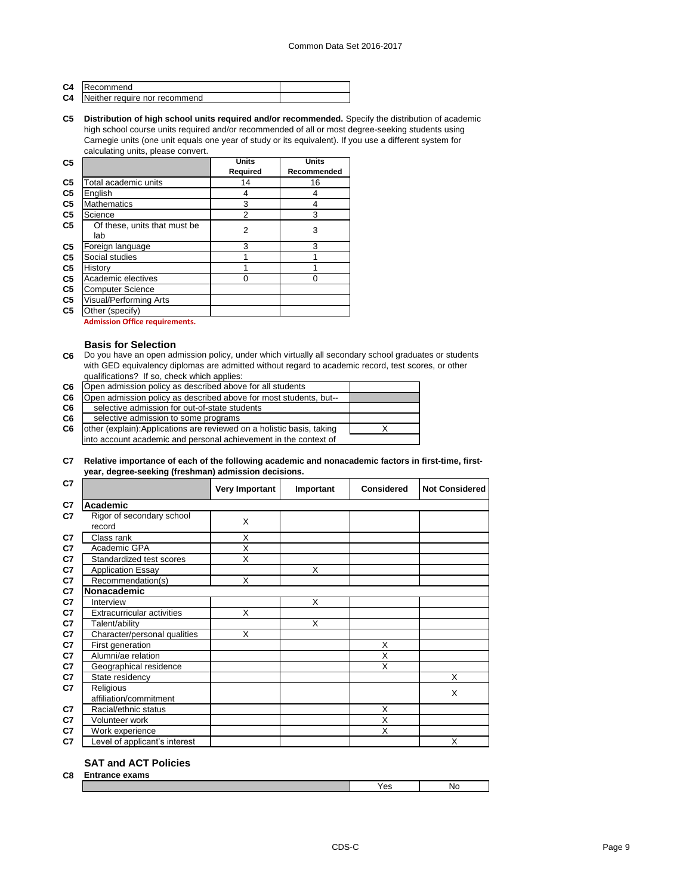| C <sub>4</sub> | <b>IRecommend</b>             |  |
|----------------|-------------------------------|--|
| C <sub>4</sub> | Neither require nor recommend |  |

**C5 Distribution of high school units required and/or recommended.** Specify the distribution of academic high school course units required and/or recommended of all or most degree-seeking students using Carnegie units (one unit equals one year of study or its equivalent). If you use a different system for calculating units, please convert.

| C <sub>5</sub> |                               | <b>Units</b>    | <b>Units</b>       |
|----------------|-------------------------------|-----------------|--------------------|
|                |                               | <b>Required</b> | <b>Recommended</b> |
| C <sub>5</sub> | Total academic units          | 14              | 16                 |
| C <sub>5</sub> | English                       | 4               | 4                  |
| C <sub>5</sub> | <b>Mathematics</b>            | 3               | 4                  |
| C <sub>5</sub> | Science                       | $\overline{2}$  | 3                  |
| C <sub>5</sub> | Of these, units that must be  | 2               | 3                  |
|                | lab                           |                 |                    |
| C <sub>5</sub> | Foreign language              | 3               | 3                  |
| C <sub>5</sub> | Social studies                |                 |                    |
| C <sub>5</sub> | History                       |                 |                    |
| C <sub>5</sub> | Academic electives            |                 |                    |
| C <sub>5</sub> | <b>Computer Science</b>       |                 |                    |
| C <sub>5</sub> | <b>Visual/Performing Arts</b> |                 |                    |
| C <sub>5</sub> | Other (specify)               |                 |                    |

**Admission Office requirements.**

### **Basis for Selection**

**C6** Do you have an open admission policy, under which virtually all secondary school graduates or students with GED equivalency diplomas are admitted without regard to academic record, test scores, or other qualifications? If so, check which applies:

| C6 | Open admission policy as described above for all students              |  |
|----|------------------------------------------------------------------------|--|
| C6 | Open admission policy as described above for most students, but--      |  |
| C6 | selective admission for out-of-state students                          |  |
| C6 | selective admission to some programs                                   |  |
| C6 | other (explain): Applications are reviewed on a holistic basis, taking |  |
|    | into account academic and personal achievement in the context of       |  |

### **C7 Relative importance of each of the following academic and nonacademic factors in first-time, firstyear, degree-seeking (freshman) admission decisions.**

| C <sub>7</sub> |                                     | <b>Very Important</b> | Important | <b>Considered</b>       | <b>Not Considered</b> |
|----------------|-------------------------------------|-----------------------|-----------|-------------------------|-----------------------|
| C <sub>7</sub> | <b>Academic</b>                     |                       |           |                         |                       |
| C <sub>7</sub> | Rigor of secondary school<br>record | X                     |           |                         |                       |
| C <sub>7</sub> | Class rank                          | X                     |           |                         |                       |
| C <sub>7</sub> | Academic GPA                        | X                     |           |                         |                       |
| C <sub>7</sub> | Standardized test scores            | X                     |           |                         |                       |
| C7             | <b>Application Essay</b>            |                       | X         |                         |                       |
| C7             | Recommendation(s)                   | X                     |           |                         |                       |
| C <sub>7</sub> | Nonacademic                         |                       |           |                         |                       |
| C <sub>7</sub> | Interview                           |                       | X         |                         |                       |
| C7             | <b>Extracurricular activities</b>   | X                     |           |                         |                       |
| C <sub>7</sub> | Talent/ability                      |                       | X         |                         |                       |
| C <sub>7</sub> | Character/personal qualities        | X                     |           |                         |                       |
| C <sub>7</sub> | First generation                    |                       |           | X                       |                       |
| C <sub>7</sub> | Alumni/ae relation                  |                       |           | X                       |                       |
| C <sub>7</sub> | Geographical residence              |                       |           | X                       |                       |
| C7             | State residency                     |                       |           |                         | X                     |
| C <sub>7</sub> | Religious                           |                       |           |                         | X                     |
|                | affiliation/commitment              |                       |           |                         |                       |
| C <sub>7</sub> | Racial/ethnic status                |                       |           | X                       |                       |
| C <sub>7</sub> | Volunteer work                      |                       |           | $\overline{\mathsf{x}}$ |                       |
| C <sub>7</sub> | Work experience                     |                       |           | X                       |                       |
| C7             | Level of applicant's interest       |                       |           |                         | X                     |

### **SAT and ACT Policies**

| C8 | $\sim$<br>allis<br>______ |   |        |  |  |
|----|---------------------------|---|--------|--|--|
|    |                           | ື | N<br>. |  |  |
|    |                           |   |        |  |  |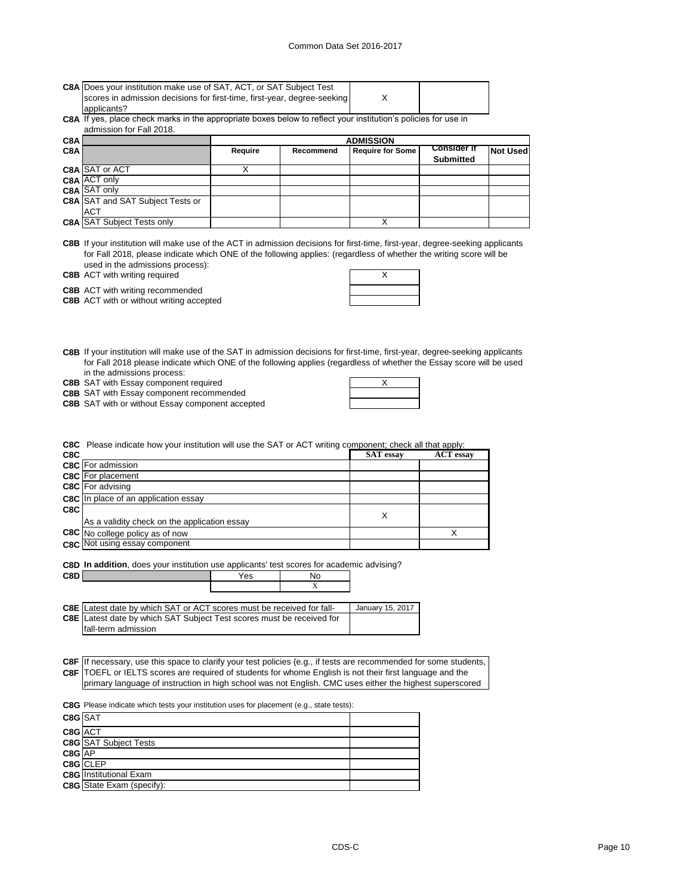### Common Data Set 2016-2017

|     | C8A Does your institution make use of SAT, ACT, or SAT Subject Test<br>scores in admission decisions for first-time, first-year, degree-seeking |                |           | х                       |                                        |                 |
|-----|-------------------------------------------------------------------------------------------------------------------------------------------------|----------------|-----------|-------------------------|----------------------------------------|-----------------|
|     | applicants?                                                                                                                                     |                |           |                         |                                        |                 |
|     | C8A If yes, place check marks in the appropriate boxes below to reflect your institution's policies for use in                                  |                |           |                         |                                        |                 |
|     | admission for Fall 2018.                                                                                                                        |                |           |                         |                                        |                 |
| C8A |                                                                                                                                                 |                |           | <b>ADMISSION</b>        |                                        |                 |
| C8A |                                                                                                                                                 | <b>Require</b> | Recommend | <b>Require for Some</b> | <b>Consider if</b><br><b>Submitted</b> | <b>Not Used</b> |
|     | C8A SAT or ACT                                                                                                                                  |                |           |                         |                                        |                 |
|     | $C8A$ $ ACT$ only                                                                                                                               |                |           |                         |                                        |                 |
|     | <b>C8A SAT only</b>                                                                                                                             |                |           |                         |                                        |                 |
|     | <b>C8A</b> SAT and SAT Subject Tests or                                                                                                         |                |           |                         |                                        |                 |
|     | <b>ACT</b>                                                                                                                                      |                |           |                         |                                        |                 |
|     | <b>C8A SAT Subject Tests only</b>                                                                                                               |                |           |                         |                                        |                 |

**C8B** If your institution will make use of the ACT in admission decisions for first-time, first-year, degree-seeking applicants for Fall 2018, please indicate which ONE of the following applies: (regardless of whether the writing score will be used in the admissions process):

**C8B** ACT with writing required **ACT ACT ACT ACT ACT ACT ACT ACT ACT ACT ACT ACT ACT ACT ACT** 

**C8B** ACT with writing recommended

**C8B** ACT with or without writing accepted

**C8B** If your institution will make use of the SAT in admission decisions for first-time, first-year, degree-seeking applicants for Fall 2018 please indicate which ONE of the following applies (regardless of whether the Essay score will be used in the admissions process:

**C8B** SAT with Essay component required  $\overline{X}$ 

**C8B** SAT with Essay component recommended

**C8B** SAT with or without Essay component accepted

**C8C** Please indicate how your institution will use the SAT or ACT writing component; check all that apply:

| C <sub>8</sub> C |                                              | <b>SAT</b> essay | <b>ACT</b> essay |
|------------------|----------------------------------------------|------------------|------------------|
|                  | <b>C8C</b> For admission                     |                  |                  |
|                  | <b>C8C</b> For placement                     |                  |                  |
|                  | <b>C8C</b> For advising                      |                  |                  |
|                  | <b>C8C</b> In place of an application essay  |                  |                  |
| C8C              |                                              | Х                |                  |
|                  | As a validity check on the application essay |                  |                  |
|                  | <b>C8C</b> No college policy as of now       |                  |                  |
|                  | <b>C8C</b> Not using essay component         |                  |                  |

**C8D In addition**, does your institution use applicants' test scores for academic advising?

| C8D   |                                                                                                                   | Yes | No |                  |  |
|-------|-------------------------------------------------------------------------------------------------------------------|-----|----|------------------|--|
|       |                                                                                                                   |     | X  |                  |  |
|       |                                                                                                                   |     |    |                  |  |
| C8E I | Latest date by which SAT or ACT scores must be received for fall-                                                 |     |    | January 15, 2017 |  |
| C8E I | Latest date by which SAT Subject Test scores must be received for                                                 |     |    |                  |  |
|       | fall-term admission                                                                                               |     |    |                  |  |
|       |                                                                                                                   |     |    |                  |  |
|       |                                                                                                                   |     |    |                  |  |
|       | C8F If necessary, use this space to clarify your test policies (e.g., if tests are recommended for some students, |     |    |                  |  |
|       | C8F TOEFL or IELTS scores are required of students for whome English is not their first language and the          |     |    |                  |  |
|       | primary language of instruction in high school was not English. CMC uses either the highest superscored           |     |    |                  |  |
|       |                                                                                                                   |     |    |                  |  |
|       | <b>C8G</b> Please indicate which tests your institution uses for placement (e.g., state tests):                   |     |    |                  |  |
|       | $\sim$ $\sim$ $\sim$ $\sim$                                                                                       |     |    |                  |  |

| $CSG$ SAT  |                                  |  |
|------------|----------------------------------|--|
| C8G ACT    |                                  |  |
|            | <b>C8G</b> SAT Subject Tests     |  |
| $C8G$ $AP$ |                                  |  |
|            | C8G CLEP                         |  |
|            | <b>C8G</b> Institutional Exam    |  |
|            | <b>C8G</b> State Exam (specify): |  |

┑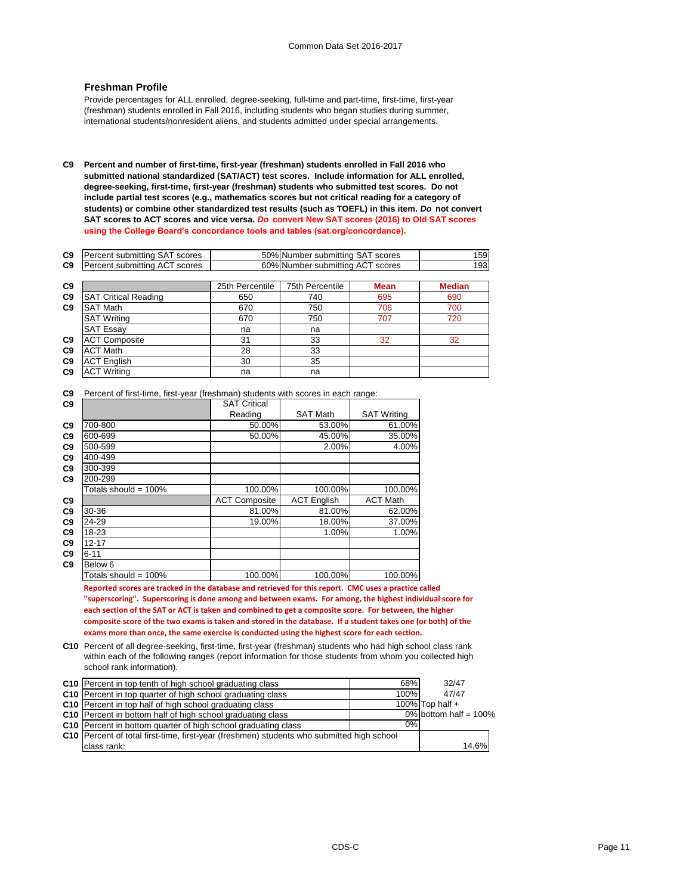### **Freshman Profile**

Provide percentages for ALL enrolled, degree-seeking, full-time and part-time, first-time, first-year (freshman) students enrolled in Fall 2016, including students who began studies during summer, international students/nonresident aliens, and students admitted under special arrangements.

**C9 Percent and number of first-time, first-year (freshman) students enrolled in Fall 2016 who submitted national standardized (SAT/ACT) test scores. Include information for ALL enrolled, degree-seeking, first-time, first-year (freshman) students who submitted test scores. Do not include partial test scores (e.g., mathematics scores but not critical reading for a category of students) or combine other standardized test results (such as TOEFL) in this item.** *Do* **not convert SAT scores to ACT scores and vice versa.** *Do* **convert New SAT scores (2016) to Old SAT scores using the College Board's concordance tools and tables (sat.org/concordance).**

| C9             | Percent submitting SAT scores |                 | 50% Number submitting SAT scores |             |               |
|----------------|-------------------------------|-----------------|----------------------------------|-------------|---------------|
| C9             | Percent submitting ACT scores |                 | 60% Number submitting ACT scores |             | 193           |
|                |                               |                 |                                  |             |               |
| C9             |                               | 25th Percentile | 75th Percentile                  | <b>Mean</b> | <b>Median</b> |
| C <sub>9</sub> | <b>SAT Critical Reading</b>   | 650             | 740                              | 695         | 690           |
| C <sub>9</sub> | <b>SAT Math</b>               | 670             | 750                              | 706         | 700           |
|                | <b>SAT Writing</b>            | 670             | 750                              | 707         | 720           |
|                | <b>SAT Essay</b>              | na              | na                               |             |               |
| C <sub>9</sub> | <b>ACT Composite</b>          | 31              | 33                               | 32          | 32            |
| C9             | <b>ACT Math</b>               | 28              | 33                               |             |               |
| C9             | <b>ACT English</b>            | 30              | 35                               |             |               |
| C <sub>9</sub> | <b>ACT Writing</b>            | na              | na                               |             |               |

**C9** Percent of first-time, first-year (freshman) students with scores in each range:

| C9             |                         | <b>SAT Critical</b>  |                    |                    |
|----------------|-------------------------|----------------------|--------------------|--------------------|
|                |                         | Reading              | <b>SAT Math</b>    | <b>SAT Writing</b> |
| C <sub>9</sub> | 700-800                 | 50.00%               | 53.00%             | 61.00%             |
| C <sub>9</sub> | 600-699                 | 50.00%               | 45.00%             | 35.00%             |
| C9             | 500-599                 |                      | 2.00%              | 4.00%              |
| C9             | 400-499                 |                      |                    |                    |
| C9             | 300-399                 |                      |                    |                    |
| C9             | 200-299                 |                      |                    |                    |
|                | Totals should = $100\%$ | 100.00%              | 100.00%            | 100.00%            |
| C9             |                         | <b>ACT Composite</b> | <b>ACT English</b> | <b>ACT Math</b>    |
| C <sub>9</sub> | 30-36                   | 81.00%               | 81.00%             | 62.00%             |
| C <sub>9</sub> | 24-29                   | 19.00%               | 18.00%             | 37.00%             |
| C <sub>9</sub> | 18-23                   |                      | 1.00%              | 1.00%              |
| C <sub>9</sub> | $12 - 17$               |                      |                    |                    |
| C9             | $6 - 11$                |                      |                    |                    |
| C9             | Below <sub>6</sub>      |                      |                    |                    |
|                | Totals should = 100%    | 100.00%              | 100.00%            | 100.00%            |

**Reported scores are tracked in the database and retrieved for this report. CMC uses a practice called "superscoring". Superscoring is done among and between exams. For among, the highest individual score for each section of the SAT or ACT is taken and combined to get a composite score. For between, the higher composite score of the two exams is taken and stored in the database. If a student takes one (or both) of the exams more than once, the same exercise is conducted using the highest score for each section.**

**C10** Percent of all degree-seeking, first-time, first-year (freshman) students who had high school class rank within each of the following ranges (report information for those students from whom you collected high school rank information).

| C10 Percent in top tenth of high school graduating class                                    | 68%  | 32/47                    |
|---------------------------------------------------------------------------------------------|------|--------------------------|
| C10 Percent in top quarter of high school graduating class                                  | 100% | 47/47                    |
| C10   Percent in top half of high school graduating class                                   |      | 100% Top half $+$        |
| C10 Percent in bottom half of high school graduating class                                  |      | $0\%$ bottom half = 100% |
| C10 Percent in bottom quarter of high school graduating class                               | 0%   |                          |
| C10   Percent of total first-time, first-year (freshmen) students who submitted high school |      |                          |
| class rank:                                                                                 |      | 14.6%                    |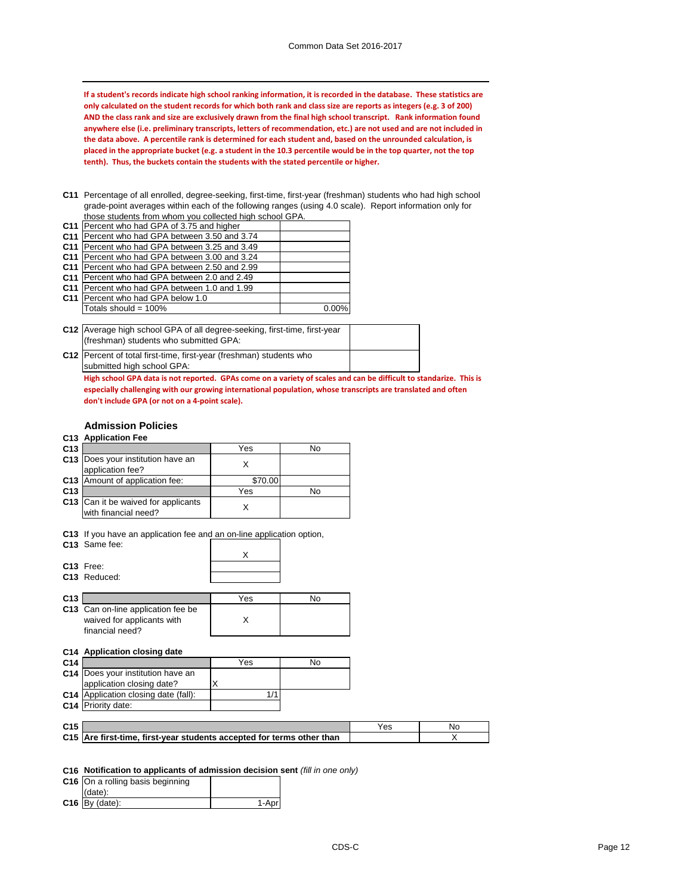**If a student's records indicate high school ranking information, it is recorded in the database. These statistics are only calculated on the student records for which both rank and class size are reports as integers (e.g. 3 of 200) AND the class rank and size are exclusively drawn from the final high school transcript. Rank information found anywhere else (i.e. preliminary transcripts, letters of recommendation, etc.) are not used and are not included in the data above. A percentile rank is determined for each student and, based on the unrounded calculation, is placed in the appropriate bucket (e.g. a student in the 10.3 percentile would be in the top quarter, not the top tenth). Thus, the buckets contain the students with the stated percentile or higher.**

**C11** Percentage of all enrolled, degree-seeking, first-time, first-year (freshman) students who had high school grade-point averages within each of the following ranges (using 4.0 scale). Report information only for those students from whom you collected high school GPA.

| triose students from whom you conected mun school GFA. |          |
|--------------------------------------------------------|----------|
| C11   Percent who had GPA of 3.75 and higher           |          |
| C11   Percent who had GPA between 3.50 and 3.74        |          |
| C11   Percent who had GPA between 3.25 and 3.49        |          |
| C11 Percent who had GPA between 3.00 and 3.24          |          |
| C11   Percent who had GPA between 2.50 and 2.99        |          |
| C11 Percent who had GPA between 2.0 and 2.49           |          |
| C11   Percent who had GPA between 1.0 and 1.99         |          |
| C11 Percent who had GPA below 1.0                      |          |
| Totals should = 100%                                   | $0.00\%$ |

| C12 Average high school GPA of all degree-seeking, first-time, first-year<br>(freshman) students who submitted GPA: |  |
|---------------------------------------------------------------------------------------------------------------------|--|
| C12 Percent of total first-time, first-year (freshman) students who                                                 |  |

submitted high school GPA:

**High school GPA data is not reported. GPAs come on a variety of scales and can be difficult to standarize. This is especially challenging with our growing international population, whose transcripts are translated and often don't include GPA (or not on a 4-point scale).**

### **Admission Policies**

### **C13 Application Fee**

| C <sub>13</sub> |                                                                    | Yes     | No |
|-----------------|--------------------------------------------------------------------|---------|----|
|                 | C13   Does your institution have an<br>application fee?            |         |    |
|                 | C13 Amount of application fee:                                     | \$70.00 |    |
| C <sub>13</sub> |                                                                    | Yes     | N٥ |
|                 | <b>C13</b> Can it be waived for applicants<br>with financial need? |         |    |

**C13** If you have an application fee and an on-line application option,

|                 | C13 Same fee:                                                                       |     |     |
|-----------------|-------------------------------------------------------------------------------------|-----|-----|
|                 |                                                                                     | X   |     |
|                 | C13 Free:                                                                           |     |     |
|                 | C <sub>13</sub> Reduced:                                                            |     |     |
|                 |                                                                                     |     |     |
| C <sub>13</sub> |                                                                                     | Yes | No. |
|                 | C13 Can on-line application fee be<br>waived for applicants with<br>financial need? | X   |     |
|                 | C14 Application closing date                                                        |     |     |
| C14             |                                                                                     | Yes | No  |
|                 | C14   Does your institution have an                                                 |     |     |
|                 | application closing date?                                                           | Χ   |     |
|                 | C14 Application closing date (fall):                                                | 1/1 |     |
| C <sub>14</sub> | Priority date:                                                                      |     |     |
|                 |                                                                                     |     |     |
| C <sub>15</sub> |                                                                                     |     |     |

| C <sub>15</sub> |                                                                       | Yes |  |
|-----------------|-----------------------------------------------------------------------|-----|--|
|                 | C15 Are first-time, first-year students accepted for terms other than |     |  |
|                 |                                                                       |     |  |

### **C16 Notification to applicants of admission decision sent** *(fill in one only)*

| C16 On a rolling basis beginning |  |
|----------------------------------|--|
| (data):                          |  |
| $C16$ By (date):                 |  |
|                                  |  |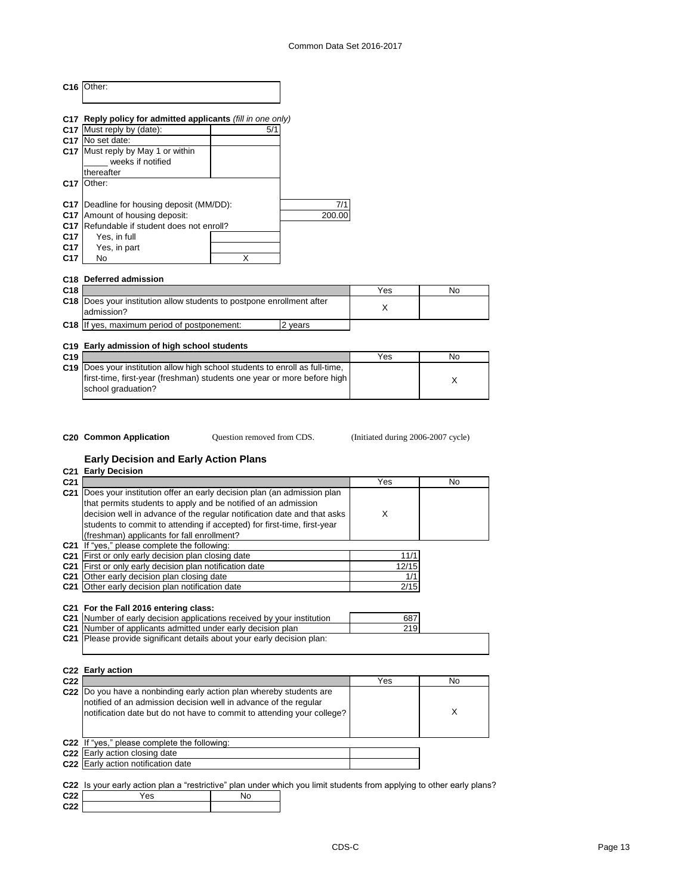|                 | C <sub>16</sub>   Other:                                                             |   |         |     |           |
|-----------------|--------------------------------------------------------------------------------------|---|---------|-----|-----------|
|                 | C17 Reply policy for admitted applicants (fill in one only)                          |   |         |     |           |
|                 | C17 Must reply by (date):                                                            |   | 5/1     |     |           |
|                 | C17 No set date:                                                                     |   |         |     |           |
|                 | C17 Must reply by May 1 or within<br>weeks if notified<br>thereafter                 |   |         |     |           |
| C <sub>17</sub> | <b>Other:</b>                                                                        |   |         |     |           |
|                 | C17   Deadline for housing deposit (MM/DD):                                          |   | 7/1     |     |           |
| C <sub>17</sub> | Amount of housing deposit:                                                           |   | 200.00  |     |           |
| C <sub>17</sub> | Refundable if student does not enroll?                                               |   |         |     |           |
| C <sub>17</sub> | Yes, in full                                                                         |   |         |     |           |
| C <sub>17</sub> | Yes, in part                                                                         |   |         |     |           |
| C <sub>17</sub> | N <sub>o</sub>                                                                       | X |         |     |           |
| C <sub>18</sub> | <b>Deferred admission</b>                                                            |   |         |     |           |
| C <sub>18</sub> |                                                                                      |   |         | Yes | <b>No</b> |
|                 | C18  Does your institution allow students to postpone enrollment after<br>admission? |   |         | X   |           |
|                 | C18 If yes, maximum period of postponement:                                          |   | 2 years |     |           |
|                 | C19 Early admission of high school students                                          |   |         |     |           |
| C <sub>19</sub> |                                                                                      |   |         | Yes | No        |
|                 |                                                                                      |   |         |     |           |

| C <sub>19</sub> |                                                                                | Yes | No |
|-----------------|--------------------------------------------------------------------------------|-----|----|
|                 | C19   Does your institution allow high school students to enroll as full-time, |     |    |
|                 | first-time, first-year (freshman) students one year or more before high        |     |    |
|                 | school graduation?                                                             |     |    |
|                 |                                                                                |     |    |

Question removed from CDS.

**C20 Common Application Question removed from CDS.** (Initiated during 2006-2007 cycle)

## **Early Decision and Early Action Plans**

### **C21 Early Decision**

| C <sub>21</sub> |                                                                         | Yes   | No. |
|-----------------|-------------------------------------------------------------------------|-------|-----|
| C <sub>21</sub> | Does your institution offer an early decision plan (an admission plan   |       |     |
|                 | that permits students to apply and be notified of an admission          |       |     |
|                 | decision well in advance of the regular notification date and that asks | X     |     |
|                 | students to commit to attending if accepted) for first-time, first-year |       |     |
|                 | (freshman) applicants for fall enrollment?                              |       |     |
| C21             | If "yes," please complete the following:                                |       |     |
| C21             | First or only early decision plan closing date                          | 11/1  |     |
| C <sub>21</sub> | First or only early decision plan notification date                     | 12/15 |     |
| C21             | Other early decision plan closing date                                  | 1/1   |     |
|                 | C21 Other early decision plan notification date                         | 2/15  |     |
|                 |                                                                         |       |     |
|                 | C21 For the Fall 2016 entering class:                                   |       |     |
|                 | C21 Number of early decision applications received by your institution  | 687   |     |
|                 | C21 Number of applicants admitted under early decision plan             | 219   |     |
| C21             | Please provide significant details about your early decision plan:      |       |     |
|                 |                                                                         |       |     |
|                 |                                                                         |       |     |
|                 | C22 Early action                                                        |       |     |
| C <sub>22</sub> |                                                                         | Yes   | No  |
|                 | C22 Do you have a nonbinding early action plan whereby students are     |       |     |

| UZZ I |                                                                                                                                                                                                                    | r es | <b>NO</b> |
|-------|--------------------------------------------------------------------------------------------------------------------------------------------------------------------------------------------------------------------|------|-----------|
|       | C22  Do you have a nonbinding early action plan whereby students are<br>notified of an admission decision well in advance of the regular<br>notification date but do not have to commit to attending your college? |      |           |
|       | C22 If "yes," please complete the following:                                                                                                                                                                       |      |           |
|       | <b>C22</b> Early action closing date                                                                                                                                                                               |      |           |
|       | C22 Early action notification date                                                                                                                                                                                 |      |           |
|       |                                                                                                                                                                                                                    |      |           |

|                 |     |    | C22 Is your early action plan a "restrictive" plan under which you limit students from applying to other early plans? |
|-----------------|-----|----|-----------------------------------------------------------------------------------------------------------------------|
| C <sub>22</sub> | Yes | No |                                                                                                                       |
| C <sub>22</sub> |     |    |                                                                                                                       |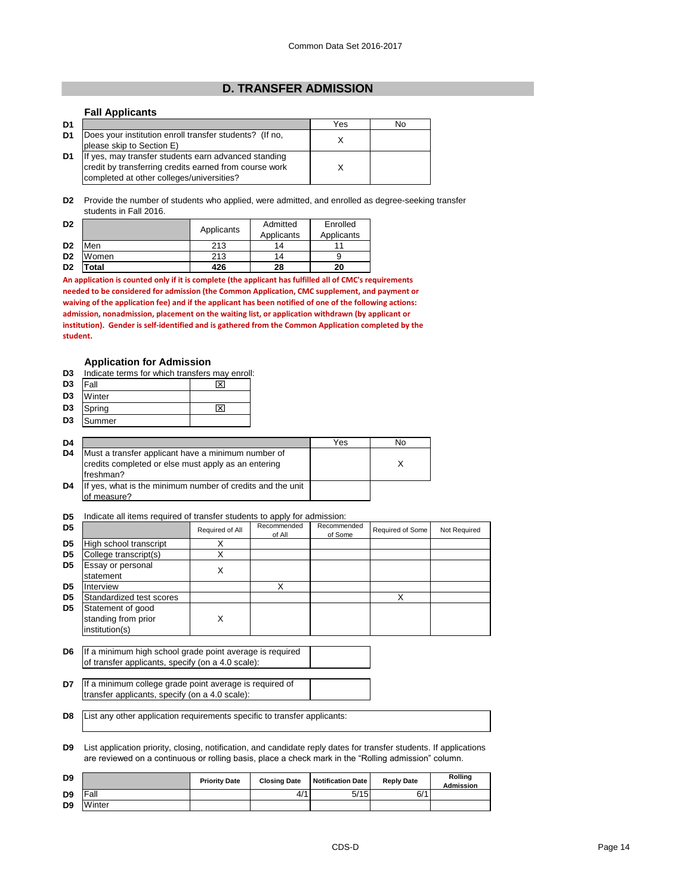### **D. TRANSFER ADMISSION**

### **Fall Applicants**

| D <sub>1</sub> |                                                         | Yes | No |
|----------------|---------------------------------------------------------|-----|----|
| D1             | Does your institution enroll transfer students? (If no, |     |    |
|                | please skip to Section E)                               |     |    |
| D <sub>1</sub> | If yes, may transfer students earn advanced standing    |     |    |
|                | credit by transferring credits earned from course work  |     |    |
|                | completed at other colleges/universities?               |     |    |

**D2** Provide the number of students who applied, were admitted, and enrolled as degree-seeking transfer students in Fall 2016.

| D <sub>2</sub> |       | Applicants | Admitted<br>Applicants | Enrolled<br>Applicants |
|----------------|-------|------------|------------------------|------------------------|
|                |       |            |                        |                        |
| D <sub>2</sub> | Men   | 213        | 14                     |                        |
| D <sub>2</sub> | Women | 213        | 14                     |                        |
| D <sub>2</sub> | 'otal | 426        | 28                     | 20                     |

**An application is counted only if it is complete (the applicant has fulfilled all of CMC's requirements needed to be considered for admission (the Common Application, CMC supplement, and payment or waiving of the application fee) and if the applicant has been notified of one of the following actions: admission, nonadmission, placement on the waiting list, or application withdrawn (by applicant or institution). Gender is self-identified and is gathered from the Common Application completed by the student.**

### **Application for Admission**

| D <sub>3</sub> | Indicate terms for which transfers may enroll:                                                                         |     |     |    |
|----------------|------------------------------------------------------------------------------------------------------------------------|-----|-----|----|
| D <sub>3</sub> | Fall                                                                                                                   | l×l |     |    |
| D <sub>3</sub> | Winter                                                                                                                 |     |     |    |
| D <sub>3</sub> | Spring                                                                                                                 | ⊠   |     |    |
| D <sub>3</sub> | Summer                                                                                                                 |     |     |    |
|                |                                                                                                                        |     |     |    |
| D <sub>4</sub> |                                                                                                                        |     | Yes | No |
| D4             | Must a transfer applicant have a minimum number of<br>credits completed or else must apply as an entering<br>freshman? |     |     | X. |
| D4             | If yes, what is the minimum number of credits and the unit<br>of measure?                                              |     |     |    |

**D5** Indicate all items required of transfer students to apply for admission:

| D <sub>5</sub> |                                                                                                               | Required of All | Recommended<br>of All | Recommended<br>of Some | Required of Some | Not Required |
|----------------|---------------------------------------------------------------------------------------------------------------|-----------------|-----------------------|------------------------|------------------|--------------|
| D <sub>5</sub> | High school transcript                                                                                        | X               |                       |                        |                  |              |
| D <sub>5</sub> | College transcript(s)                                                                                         | X               |                       |                        |                  |              |
| D <sub>5</sub> | Essay or personal<br>statement                                                                                | X               |                       |                        |                  |              |
| D <sub>5</sub> | Interview                                                                                                     |                 | X                     |                        |                  |              |
| D <sub>5</sub> | Standardized test scores                                                                                      |                 |                       |                        | Х                |              |
| D <sub>5</sub> | Statement of good<br>standing from prior<br>institution(s)                                                    | X               |                       |                        |                  |              |
| D <sub>6</sub> | If a minimum high school grade point average is required<br>of transfer applicants, specify (on a 4.0 scale): |                 |                       |                        |                  |              |
| D7             | If a minimum college grade point average is required of<br>transfer applicants, specify (on a 4.0 scale):     |                 |                       |                        |                  |              |

**D8** List any other application requirements specific to transfer applicants:

**D9** List application priority, closing, notification, and candidate reply dates for transfer students. If applications are reviewed on a continuous or rolling basis, place a check mark in the "Rolling admission" column.

| D <sub>9</sub> |        | <b>Priority Date</b> | <b>Closing Date</b> | Notification Date | <b>Reply Date</b> | <b>Rolling</b><br><b>Admission</b> |
|----------------|--------|----------------------|---------------------|-------------------|-------------------|------------------------------------|
| D <sub>9</sub> | Fall   |                      | 4/1                 | 5/15              | 6/1               |                                    |
| D <sub>9</sub> | Winter |                      |                     |                   |                   |                                    |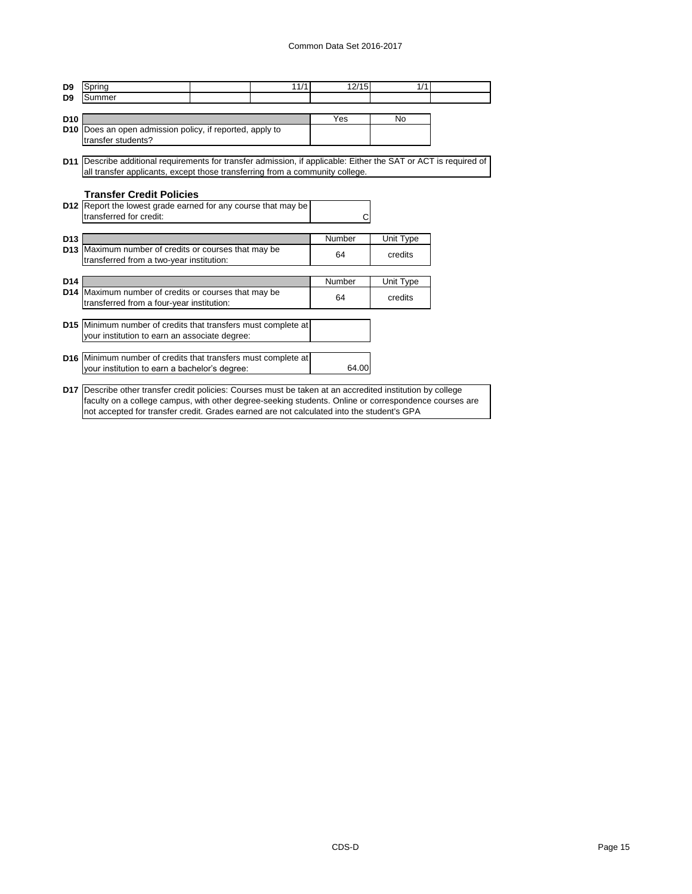| D <sub>9</sub>  | Spring                                                                                                            | 11/1 | 12/15  | 1/1       |  |
|-----------------|-------------------------------------------------------------------------------------------------------------------|------|--------|-----------|--|
| D <sub>9</sub>  | Summer                                                                                                            |      |        |           |  |
| <b>D10</b>      |                                                                                                                   |      | Yes    | No        |  |
|                 | D10 Does an open admission policy, if reported, apply to                                                          |      |        |           |  |
|                 | transfer students?                                                                                                |      |        |           |  |
|                 |                                                                                                                   |      |        |           |  |
|                 | D11  Describe additional requirements for transfer admission, if applicable: Either the SAT or ACT is required of |      |        |           |  |
|                 | all transfer applicants, except those transferring from a community college.                                      |      |        |           |  |
|                 |                                                                                                                   |      |        |           |  |
|                 | <b>Transfer Credit Policies</b>                                                                                   |      |        |           |  |
|                 | D12 Report the lowest grade earned for any course that may be<br>transferred for credit:                          |      |        |           |  |
|                 |                                                                                                                   |      |        |           |  |
| D <sub>13</sub> |                                                                                                                   |      | Number | Unit Type |  |
|                 | D13 Maximum number of credits or courses that may be                                                              |      |        |           |  |
|                 | transferred from a two-year institution:                                                                          |      | 64     | credits   |  |
|                 |                                                                                                                   |      |        |           |  |
| D <sub>14</sub> |                                                                                                                   |      | Number | Unit Type |  |
|                 | D14 Maximum number of credits or courses that may be                                                              |      | 64     | credits   |  |
|                 | transferred from a four-year institution:                                                                         |      |        |           |  |
|                 | D15 Minimum number of credits that transfers must complete at                                                     |      |        |           |  |
|                 | your institution to earn an associate degree:                                                                     |      |        |           |  |
|                 |                                                                                                                   |      |        |           |  |
|                 | D16 Minimum number of credits that transfers must complete at                                                     |      |        |           |  |
|                 | your institution to earn a bachelor's degree:                                                                     |      | 64.00  |           |  |
|                 |                                                                                                                   |      |        |           |  |
|                 | D17 Describe other transfer credit policies: Courses must be taken at an accredited institution by college        |      |        |           |  |
|                 | faculty on a college campus, with other degree-seeking students. Online or correspondence courses are             |      |        |           |  |
|                 | not accepted for transfer credit. Grades earned are not calculated into the student's GPA                         |      |        |           |  |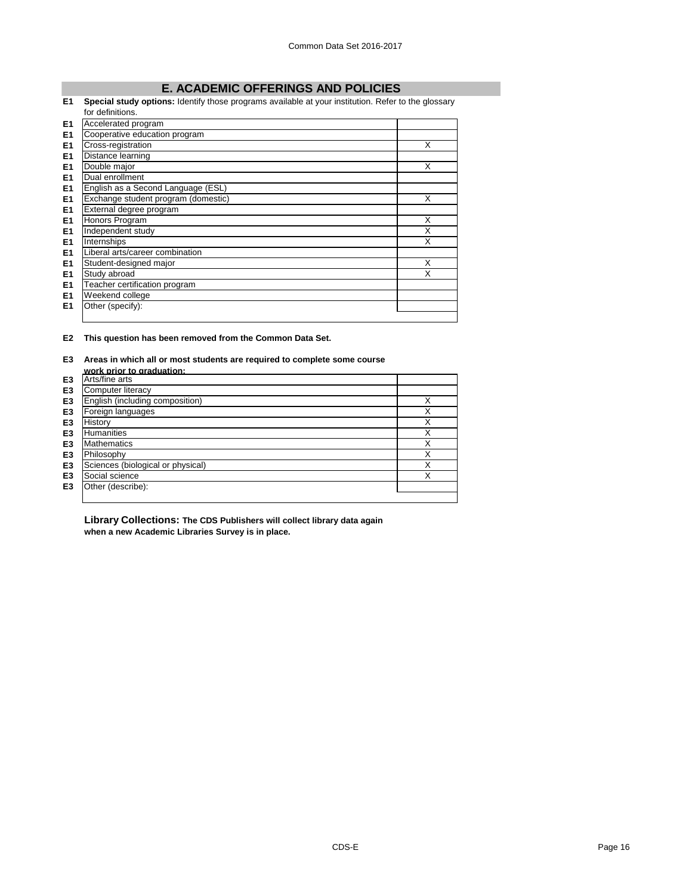## **E. ACADEMIC OFFERINGS AND POLICIES**

### **E1 Special study options:** Identify those programs available at your institution. Refer to the glossary

|                | for definitions.                    |   |
|----------------|-------------------------------------|---|
| E <sub>1</sub> | Accelerated program                 |   |
| E <sub>1</sub> | Cooperative education program       |   |
| E1             | Cross-registration                  | X |
| E1             | Distance learning                   |   |
| E <sub>1</sub> | Double major                        | X |
| E1             | Dual enrollment                     |   |
| E <sub>1</sub> | English as a Second Language (ESL)  |   |
| E <sub>1</sub> | Exchange student program (domestic) | X |
| E <sub>1</sub> | External degree program             |   |
| E1             | Honors Program                      | Х |
| E1             | Independent study                   | X |
| E <sub>1</sub> | Internships                         | X |
| E1             | Liberal arts/career combination     |   |
| E <sub>1</sub> | Student-designed major              | X |
| E <sub>1</sub> | Study abroad                        | X |
| E1             | Teacher certification program       |   |
| E1             | Weekend college                     |   |
| E1             | Other (specify):                    |   |
|                |                                     |   |

**E2 This question has been removed from the Common Data Set.**

# **E3 Areas in which all or most students are required to complete some course**

|                | work prior to graduation:         |   |
|----------------|-----------------------------------|---|
| E <sub>3</sub> | Arts/fine arts                    |   |
| E <sub>3</sub> | Computer literacy                 |   |
| E <sub>3</sub> | English (including composition)   | Χ |
| E <sub>3</sub> | Foreign languages                 | Χ |
| E <sub>3</sub> | History                           | Χ |
| E <sub>3</sub> | <b>Humanities</b>                 | Χ |
| E <sub>3</sub> | <b>Mathematics</b>                | Χ |
| E <sub>3</sub> | Philosophy                        | Χ |
| E <sub>3</sub> | Sciences (biological or physical) | X |
| E <sub>3</sub> | Social science                    | Χ |
| E <sub>3</sub> | Other (describe):                 |   |
|                |                                   |   |

**Library Collections: The CDS Publishers will collect library data again when a new Academic Libraries Survey is in place.**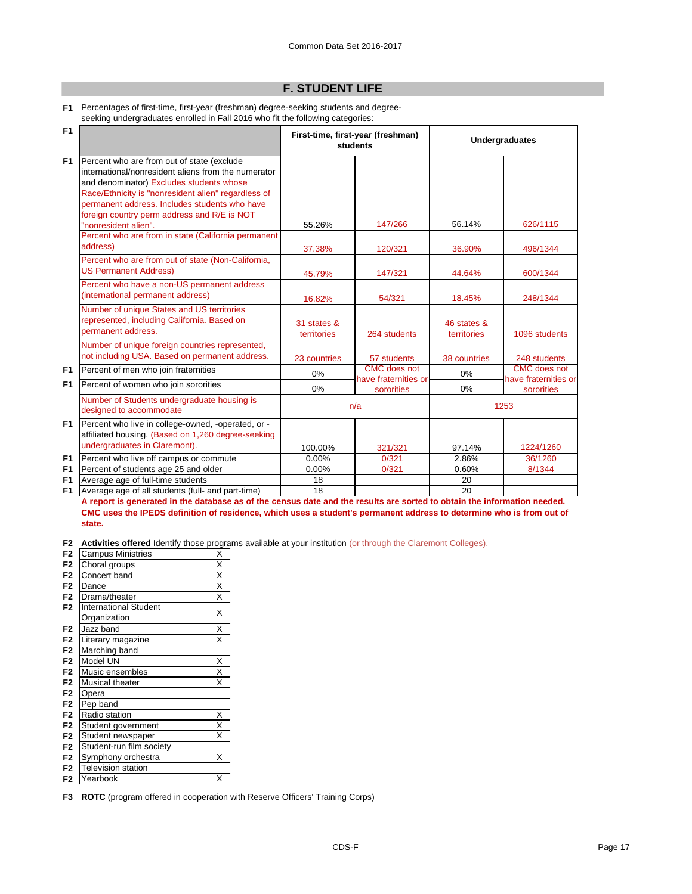## **F. STUDENT LIFE**

**F1** Percentages of first-time, first-year (freshman) degree-seeking students and degreeseeking undergraduates enrolled in Fall 2016 who fit the following categories:

| F1                               |                                                                                                                                                                                                                                                                                                      | First-time, first-year (freshman)<br><b>students</b> |                                    | <b>Undergraduates</b>      |                                    |
|----------------------------------|------------------------------------------------------------------------------------------------------------------------------------------------------------------------------------------------------------------------------------------------------------------------------------------------------|------------------------------------------------------|------------------------------------|----------------------------|------------------------------------|
| F <sub>1</sub>                   | Percent who are from out of state (exclude<br>international/nonresident aliens from the numerator<br>and denominator) Excludes students whose<br>Race/Ethnicity is "nonresident alien" regardless of<br>permanent address. Includes students who have<br>foreign country perm address and R/E is NOT |                                                      |                                    |                            |                                    |
|                                  | "nonresident alien".                                                                                                                                                                                                                                                                                 | 55.26%                                               | 147/266                            | 56.14%                     | 626/1115                           |
|                                  | Percent who are from in state (California permanent<br>address)                                                                                                                                                                                                                                      | 37.38%                                               | 120/321                            | 36.90%                     | 496/1344                           |
|                                  | Percent who are from out of state (Non-California,<br><b>US Permanent Address)</b>                                                                                                                                                                                                                   | 45.79%                                               | 147/321                            | 44.64%                     | 600/1344                           |
|                                  | Percent who have a non-US permanent address<br>(international permanent address)                                                                                                                                                                                                                     | 16.82%                                               | 54/321                             | 18.45%                     | 248/1344                           |
|                                  | Number of unique States and US territories<br>represented, including California. Based on<br>permanent address.                                                                                                                                                                                      | 31 states &<br>territories                           | 264 students                       | 46 states &<br>territories | 1096 students                      |
|                                  | Number of unique foreign countries represented,<br>not including USA. Based on permanent address.                                                                                                                                                                                                    | 23 countries                                         | 57 students                        | 38 countries               | 248 students                       |
| F <sub>1</sub>                   | Percent of men who join fraternities                                                                                                                                                                                                                                                                 | 0%                                                   | <b>CMC</b> does not                | 0%                         | <b>CMC</b> does not                |
| F <sub>1</sub>                   | Percent of women who join sororities                                                                                                                                                                                                                                                                 | $0\%$                                                | have fraternities or<br>sororities | 0%                         | have fraternities or<br>sororities |
|                                  | Number of Students undergraduate housing is<br>designed to accommodate                                                                                                                                                                                                                               |                                                      | n/a                                |                            | 1253                               |
| F <sub>1</sub>                   | Percent who live in college-owned, -operated, or -<br>affiliated housing. (Based on 1,260 degree-seeking<br>undergraduates in Claremont).                                                                                                                                                            | 100.00%                                              | 321/321                            | 97.14%                     | 1224/1260                          |
|                                  | Percent who live off campus or commute                                                                                                                                                                                                                                                               | 0.00%                                                | 0/321                              | 2.86%                      | 36/1260                            |
| F <sub>1</sub><br>F <sub>1</sub> | Percent of students age 25 and older                                                                                                                                                                                                                                                                 | 0.00%                                                | 0/321                              | 0.60%                      | 8/1344                             |
| F <sub>1</sub>                   | Average age of full-time students                                                                                                                                                                                                                                                                    | 18                                                   |                                    | 20                         |                                    |
| F <sub>1</sub>                   | Average age of all students (full- and part-time)                                                                                                                                                                                                                                                    | 18                                                   |                                    | 20                         |                                    |

**A report is generated in the database as of the census date and the results are sorted to obtain the information needed. CMC uses the IPEDS definition of residence, which uses a student's permanent address to determine who is from out of state.** 

**F2 Activities offered** Identify those programs available at your institution (or through the Claremont Colleges).

| F <sub>2</sub> | <b>Campus Ministries</b>     | X                       |
|----------------|------------------------------|-------------------------|
| F <sub>2</sub> | Choral groups                | $\overline{\mathsf{x}}$ |
| F <sub>2</sub> | Concert band                 | $\overline{\mathsf{x}}$ |
| F <sub>2</sub> | Dance                        | X                       |
| F <sub>2</sub> | Drama/theater                | X                       |
| F <sub>2</sub> | <b>International Student</b> | X                       |
|                | Organization                 |                         |
| F <sub>2</sub> | Jazz band                    | $\overline{\mathsf{x}}$ |
| F <sub>2</sub> | Literary magazine            | X                       |
| F <sub>2</sub> | Marching band                |                         |
| F <sub>2</sub> | Model UN                     | X                       |
| F <sub>2</sub> | Music ensembles              | $\overline{\mathsf{x}}$ |
| F <sub>2</sub> | Musical theater              | $\overline{\mathsf{x}}$ |
| F <sub>2</sub> | Opera                        |                         |
| F <sub>2</sub> | Pep band                     |                         |
| F <sub>2</sub> | Radio station                | X                       |
| F <sub>2</sub> | Student government           | X                       |
| F <sub>2</sub> | Student newspaper            | X                       |
| F <sub>2</sub> | Student-run film society     |                         |
| F <sub>2</sub> | Symphony orchestra           | X                       |
| F <sub>2</sub> | <b>Television station</b>    |                         |
| F <sub>2</sub> | Yearbook                     | Χ                       |

**F3 ROTC** (program offered in cooperation with Reserve Officers' Training Corps)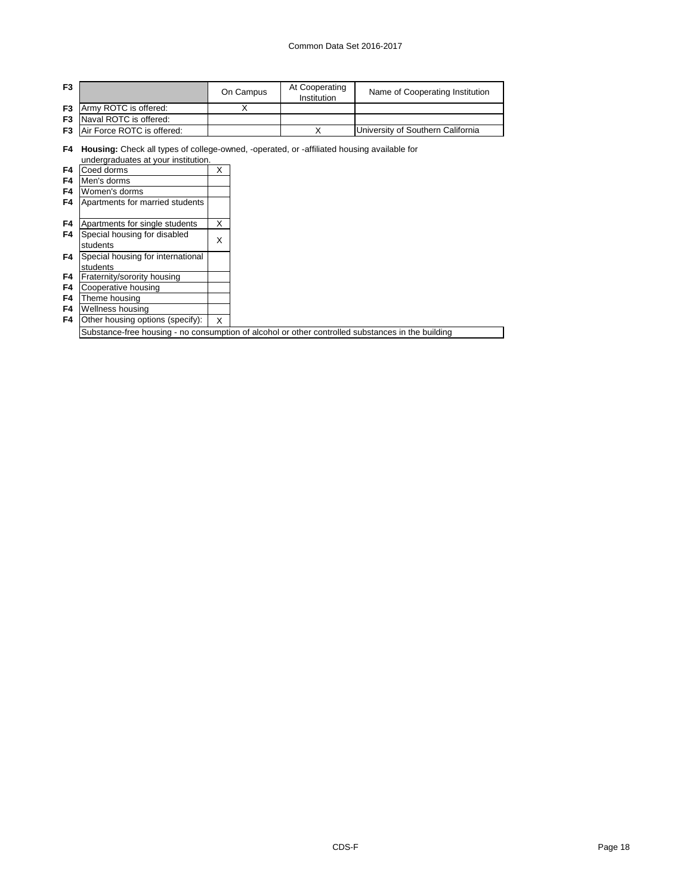### Common Data Set 2016-2017

| F <sub>3</sub> |                                      | On Campus | At Cooperating<br>Institution | Name of Cooperating Institution   |
|----------------|--------------------------------------|-----------|-------------------------------|-----------------------------------|
|                | <b>F3</b> Army ROTC is offered:      |           |                               |                                   |
|                | <b>F3</b> Naval ROTC is offered:     |           |                               |                                   |
|                | <b>F3</b> Air Force ROTC is offered: |           |                               | University of Southern California |

**F4 Housing:** Check all types of college-owned, -operated, or -affiliated housing available for

|                | undergraduates at your institution.             |   |  |
|----------------|-------------------------------------------------|---|--|
| F4             | Coed dorms                                      | х |  |
| F4             | Men's dorms                                     |   |  |
| F4             | Women's dorms                                   |   |  |
| F4             | Apartments for married students                 |   |  |
|                |                                                 |   |  |
| F4             | Apartments for single students                  | X |  |
| F4             | Special housing for disabled                    | Χ |  |
|                | students                                        |   |  |
| F4             | Special housing for international               |   |  |
|                | students                                        |   |  |
| F4             | Fraternity/sorority housing                     |   |  |
| F4             | Cooperative housing                             |   |  |
| F4             | Theme housing                                   |   |  |
| F <sub>4</sub> | Wellness housing                                |   |  |
| F4             | Other housing options (specify):                | X |  |
|                | Substance-free housing - no consumption of alco |   |  |

ohol or other controlled substances in the building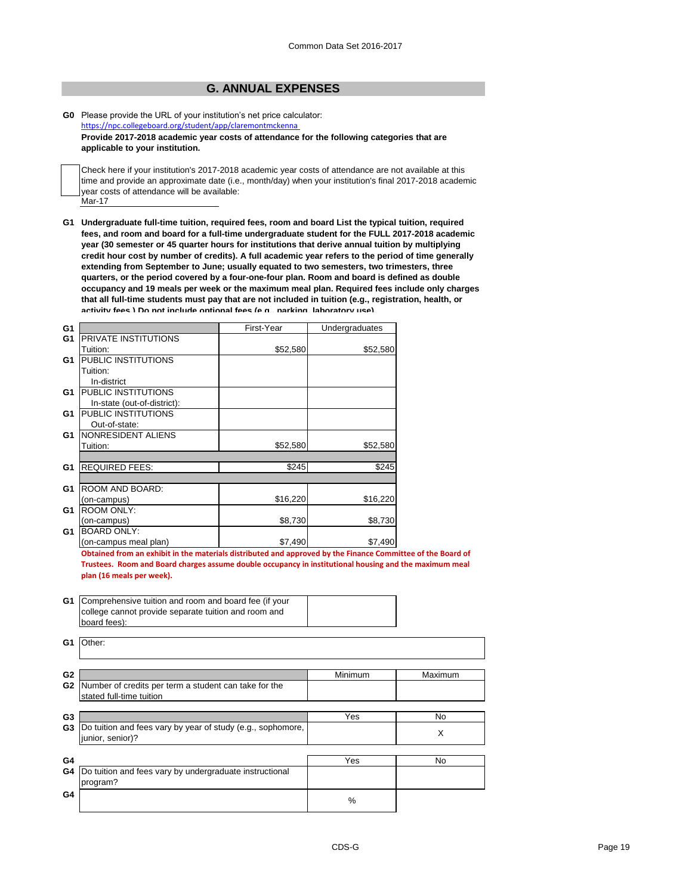### **G. ANNUAL EXPENSES**

#### **G0** Please provide the URL of your institution's net price calculator: <https://npc.collegeboard.org/student/app/claremontmckenna>

**Provide 2017-2018 academic year costs of attendance for the following categories that are applicable to your institution.**

Mar-17 Check here if your institution's 2017-2018 academic year costs of attendance are not available at this time and provide an approximate date (i.e., month/day) when your institution's final 2017-2018 academic year costs of attendance will be available:

**G1 Undergraduate full-time tuition, required fees, room and board List the typical tuition, required fees, and room and board for a full-time undergraduate student for the FULL 2017-2018 academic year (30 semester or 45 quarter hours for institutions that derive annual tuition by multiplying credit hour cost by number of credits). A full academic year refers to the period of time generally extending from September to June; usually equated to two semesters, two trimesters, three quarters, or the period covered by a four-one-four plan. Room and board is defined as double occupancy and 19 meals per week or the maximum meal plan. Required fees include only charges that all full-time students must pay that are not included in tuition (e.g., registration, health, or activity fees.) Do not include optional fees (e.g., parking, laboratory use).**

| G <sub>1</sub> |                             | First-Year | Undergraduates |
|----------------|-----------------------------|------------|----------------|
| G <sub>1</sub> | PRIVATE INSTITUTIONS        |            |                |
|                | Tuition:                    | \$52,580   | \$52,580       |
| G <sub>1</sub> | PUBLIC INSTITUTIONS         |            |                |
|                | Tuition:                    |            |                |
|                | In-district                 |            |                |
| G <sub>1</sub> | PUBLIC INSTITUTIONS         |            |                |
|                | In-state (out-of-district): |            |                |
| G <sub>1</sub> | PUBLIC INSTITUTIONS         |            |                |
|                | Out-of-state:               |            |                |
| G1             | NONRESIDENT ALIENS          |            |                |
|                | Tuition:                    | \$52,580   | \$52,580       |
|                |                             |            |                |
| G <sub>1</sub> | <b>REQUIRED FEES:</b>       | \$245      | \$245          |
|                |                             |            |                |
| G <sub>1</sub> | ROOM AND BOARD:             |            |                |
|                | (on-campus)                 | \$16,220   | \$16,220       |
| G <sub>1</sub> | <b>ROOM ONLY:</b>           |            |                |
|                | (on-campus)                 | \$8,730    | \$8,730        |
| G <sub>1</sub> | <b>BOARD ONLY:</b>          |            |                |
|                | (on-campus meal plan)       | \$7,490    | \$7,490        |

**Obtained from an exhibit in the materials distributed and approved by the Finance Committee of the Board of Trustees. Room and Board charges assume double occupancy in institutional housing and the maximum meal plan (16 meals per week).**

| G1                               | Comprehensive tuition and room and board fee (if your<br>college cannot provide separate tuition and room and |         |          |
|----------------------------------|---------------------------------------------------------------------------------------------------------------|---------|----------|
|                                  | board fees):                                                                                                  |         |          |
| G1                               | Other:                                                                                                        |         |          |
| G <sub>2</sub>                   |                                                                                                               | Minimum | Maximum  |
| G <sub>2</sub>                   | Number of credits per term a student can take for the<br>stated full-time tuition                             |         |          |
|                                  |                                                                                                               |         |          |
| G <sub>3</sub><br>G <sub>3</sub> | Do tuition and fees vary by year of study (e.g., sophomore,<br>junior, senior)?                               | Yes     | No.<br>X |
| G <sub>4</sub>                   |                                                                                                               | Yes     | No.      |
| G4                               | Do tuition and fees vary by undergraduate instructional<br>program?                                           |         |          |
| G4                               |                                                                                                               | %       |          |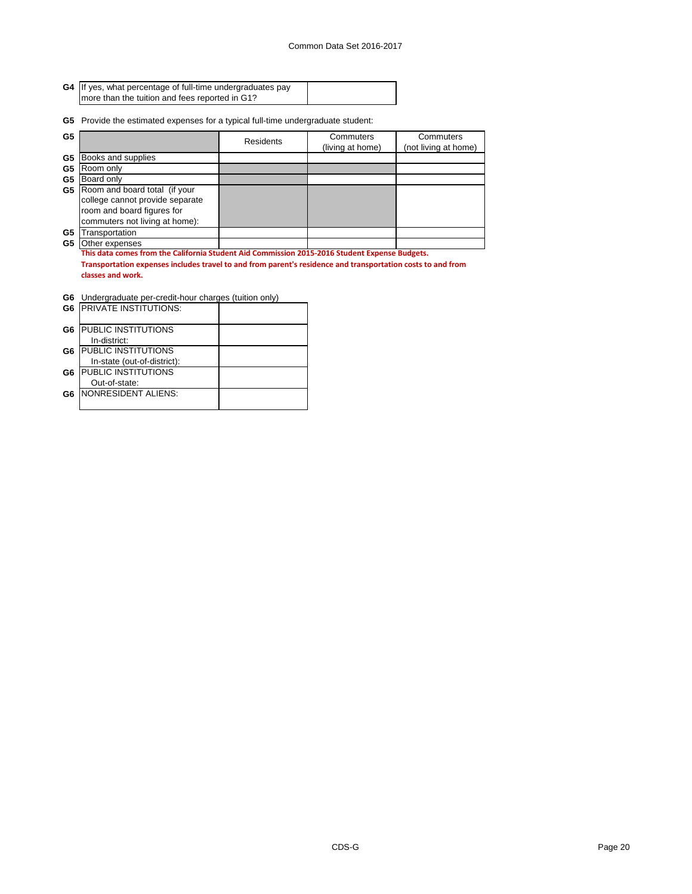| G4 If yes, what percentage of full-time undergraduates pay |  |
|------------------------------------------------------------|--|
| more than the tuition and fees reported in G1?             |  |

**G5** Provide the estimated expenses for a typical full-time undergraduate student:

| G <sub>5</sub> |                                                                                                             | Residents | Commuters<br>(living at home) | Commuters<br>(not living at home) |  |
|----------------|-------------------------------------------------------------------------------------------------------------|-----------|-------------------------------|-----------------------------------|--|
| G5             | Books and supplies                                                                                          |           |                               |                                   |  |
| G5             | Room only                                                                                                   |           |                               |                                   |  |
| G <sub>5</sub> | Board only                                                                                                  |           |                               |                                   |  |
| G5             | Room and board total (if your                                                                               |           |                               |                                   |  |
|                | college cannot provide separate                                                                             |           |                               |                                   |  |
|                | room and board figures for                                                                                  |           |                               |                                   |  |
|                | commuters not living at home):                                                                              |           |                               |                                   |  |
| G5             | Transportation                                                                                              |           |                               |                                   |  |
| G5             | Other expenses                                                                                              |           |                               |                                   |  |
|                | This data comes from the California Student Aid Commission 2015-2016 Student Expense Budgets.               |           |                               |                                   |  |
|                | Transportation expenses includes travel to and from parent's residence and transportation costs to and from |           |                               |                                   |  |
|                | classes and work.                                                                                           |           |                               |                                   |  |

|  | <b>G6</b> Undergraduate per-credit-hour charges (tuition only) |  |  |  |  |
|--|----------------------------------------------------------------|--|--|--|--|
|--|----------------------------------------------------------------|--|--|--|--|

| G6 | <b>PRIVATE INSTITUTIONS:</b> |  |
|----|------------------------------|--|
| G6 | <b>IPUBLIC INSTITUTIONS</b>  |  |
|    | In-district:                 |  |
| G6 | <b>PUBLIC INSTITUTIONS</b>   |  |
|    | In-state (out-of-district):  |  |
| G6 | <b>PUBLIC INSTITUTIONS</b>   |  |
|    | Out-of-state:                |  |
| G6 | INONRESIDENT ALIENS:         |  |
|    |                              |  |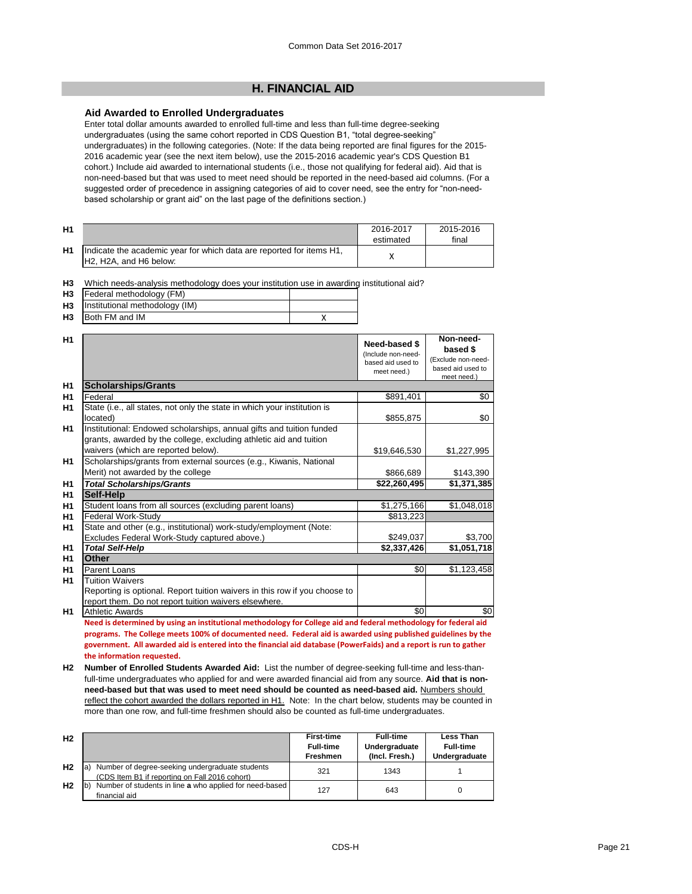### **H. FINANCIAL AID**

### **Aid Awarded to Enrolled Undergraduates**

Enter total dollar amounts awarded to enrolled full-time and less than full-time degree-seeking undergraduates (using the same cohort reported in CDS Question B1, "total degree-seeking" undergraduates) in the following categories. (Note: If the data being reported are final figures for the 2015- 2016 academic year (see the next item below), use the 2015-2016 academic year's CDS Question B1 cohort.) Include aid awarded to international students (i.e., those not qualifying for federal aid). Aid that is non-need-based but that was used to meet need should be reported in the need-based aid columns. (For a suggested order of precedence in assigning categories of aid to cover need, see the entry for "non-needbased scholarship or grant aid" on the last page of the definitions section.)

| H1 |                                                                                                | 2016-2017<br>estimated | 2015-2016<br>final |
|----|------------------------------------------------------------------------------------------------|------------------------|--------------------|
| H1 | Indicate the academic year for which data are reported for items H1,<br>H2, H2A, and H6 below: |                        |                    |

| H3        | Federal methodology (FM)       |  |
|-----------|--------------------------------|--|
| <b>H3</b> | Institutional methodology (IM) |  |
| <b>H3</b> | Both FM and IM                 |  |

| H <sub>1</sub> |                                                                                                                                                                                   | Need-based \$<br>(Include non-need-<br>based aid used to<br>meet need.) | Non-need-<br>based \$<br>(Exclude non-need-<br>based aid used to<br>meet need.) |
|----------------|-----------------------------------------------------------------------------------------------------------------------------------------------------------------------------------|-------------------------------------------------------------------------|---------------------------------------------------------------------------------|
| H <sub>1</sub> | <b>Scholarships/Grants</b>                                                                                                                                                        |                                                                         |                                                                                 |
| H1             | Federal                                                                                                                                                                           | \$891,401                                                               | \$0                                                                             |
| H1             | State (i.e., all states, not only the state in which your institution is<br>located)                                                                                              | \$855,875                                                               | \$0                                                                             |
| H <sub>1</sub> | Institutional: Endowed scholarships, annual gifts and tuition funded<br>grants, awarded by the college, excluding athletic aid and tuition<br>waivers (which are reported below). | \$19,646,530                                                            | \$1,227,995                                                                     |
| H1             | Scholarships/grants from external sources (e.g., Kiwanis, National<br>Merit) not awarded by the college                                                                           | \$866,689                                                               | \$143,390                                                                       |
| H <sub>1</sub> | <b>Total Scholarships/Grants</b>                                                                                                                                                  | \$22,260,495                                                            | \$1,371,385                                                                     |
| H <sub>1</sub> | <b>Self-Help</b>                                                                                                                                                                  |                                                                         |                                                                                 |
| H1             | Student loans from all sources (excluding parent loans)                                                                                                                           | \$1,275,166                                                             | \$1,048,018                                                                     |
| H1             | <b>Federal Work-Study</b>                                                                                                                                                         | \$813,223                                                               |                                                                                 |
| H1             | State and other (e.g., institutional) work-study/employment (Note:                                                                                                                |                                                                         |                                                                                 |
|                | Excludes Federal Work-Study captured above.)                                                                                                                                      | \$249,037                                                               | \$3,700                                                                         |
| H <sub>1</sub> | <b>Total Self-Help</b>                                                                                                                                                            | \$2,337,426                                                             | \$1,051,718                                                                     |
| H1             | <b>Other</b>                                                                                                                                                                      |                                                                         |                                                                                 |
| H1             | <b>Parent Loans</b>                                                                                                                                                               | \$0                                                                     | \$1,123,458                                                                     |
| H1             | <b>Tuition Waivers</b><br>Reporting is optional. Report tuition waivers in this row if you choose to                                                                              |                                                                         |                                                                                 |
| H1             | report them. Do not report tuition waivers elsewhere.<br><b>Athletic Awards</b>                                                                                                   | \$0                                                                     | \$0                                                                             |

**Need is determined by using an institutional methodology for College aid and federal methodology for federal aid programs. The College meets 100% of documented need. Federal aid is awarded using published guidelines by the government. All awarded aid is entered into the financial aid database (PowerFaids) and a report is run to gather the information requested.**

**H2 Number of Enrolled Students Awarded Aid:** List the number of degree-seeking full-time and less-thanfull-time undergraduates who applied for and were awarded financial aid from any source. **Aid that is nonneed-based but that was used to meet need should be counted as need-based aid.** Numbers should reflect the cohort awarded the dollars reported in H1. Note: In the chart below, students may be counted in more than one row, and full-time freshmen should also be counted as full-time undergraduates.

| H <sub>2</sub> |                                                                                                          | <b>First-time</b><br><b>Full-time</b><br><b>Freshmen</b> | <b>Full-time</b><br>Undergraduate<br>(Incl. Fresh.) | <b>Less Than</b><br><b>Full-time</b><br>Undergraduate |
|----------------|----------------------------------------------------------------------------------------------------------|----------------------------------------------------------|-----------------------------------------------------|-------------------------------------------------------|
| H <sub>2</sub> | Number of degree-seeking undergraduate students<br>la.<br>(CDS Item B1 if reporting on Fall 2016 cohort) | 321                                                      | 1343                                                |                                                       |
| H <sub>2</sub> | Number of students in line a who applied for need-based<br>lb,<br>financial aid                          | 127                                                      | 643                                                 |                                                       |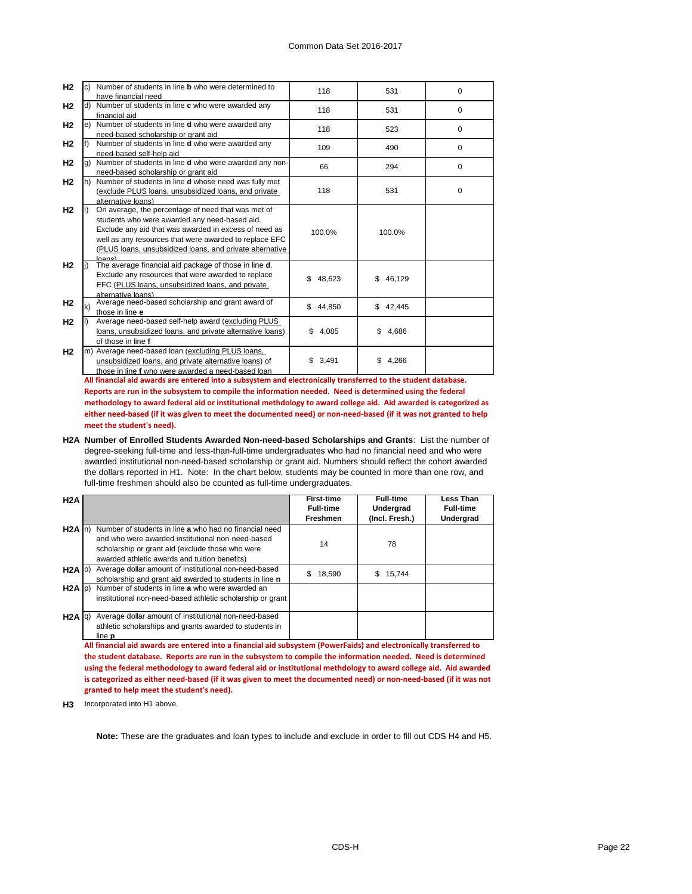| H <sub>2</sub> |              | c) Number of students in line <b>b</b> who were determined to<br>have financial need                                                                                                                                                                                                    | 118          | 531          | $\Omega$ |
|----------------|--------------|-----------------------------------------------------------------------------------------------------------------------------------------------------------------------------------------------------------------------------------------------------------------------------------------|--------------|--------------|----------|
| H <sub>2</sub> |              | d) Number of students in line c who were awarded any<br>financial aid                                                                                                                                                                                                                   | 118          | 531          | $\Omega$ |
| H <sub>2</sub> |              | e) Number of students in line d who were awarded any<br>need-based scholarship or grant aid                                                                                                                                                                                             | 118          | 523          | $\Omega$ |
| H <sub>2</sub> | lf)          | Number of students in line <b>d</b> who were awarded any<br>need-based self-help aid                                                                                                                                                                                                    | 109          | 490          | 0        |
| H <sub>2</sub> | a)           | Number of students in line d who were awarded any non-<br>need-based scholarship or grant aid                                                                                                                                                                                           | 66           | 294          | $\Omega$ |
| H <sub>2</sub> |              | h) Number of students in line <b>d</b> whose need was fully met<br>(exclude PLUS loans, unsubsidized loans, and private<br>alternative loans)                                                                                                                                           | 118          | 531          | 0        |
| H <sub>2</sub> | l I          | On average, the percentage of need that was met of<br>students who were awarded any need-based aid.<br>Exclude any aid that was awarded in excess of need as<br>well as any resources that were awarded to replace EFC<br>(PLUS loans, unsubsidized loans, and private alternative<br>l | 100.0%       | 100.0%       |          |
| H <sub>2</sub> |              | The average financial aid package of those in line d.<br>Exclude any resources that were awarded to replace<br>EFC (PLUS loans, unsubsidized loans, and private<br>alternative loans)                                                                                                   | 48,623<br>\$ | 46,129<br>\$ |          |
| H <sub>2</sub> | $\mathsf{k}$ | Average need-based scholarship and grant award of<br>those in line e                                                                                                                                                                                                                    | \$44,850     | \$42,445     |          |
| H <sub>2</sub> |              | Average need-based self-help award (excluding PLUS<br>loans, unsubsidized loans, and private alternative loans)<br>of those in line f                                                                                                                                                   | 4,085<br>\$  | \$<br>4,686  |          |
| H <sub>2</sub> |              | m) Average need-based loan (excluding PLUS loans,<br>unsubsidized loans, and private alternative loans) of<br>those in line f who were awarded a need-based loan                                                                                                                        | 3,491<br>\$  | 4,266<br>\$  |          |

**All financial aid awards are entered into a subsystem and electronically transferred to the student database. Reports are run in the subsystem to compile the information needed. Need is determined using the federal methodology to award federal aid or institutional methdology to award college aid. Aid awarded is categorized as either need-based (if it was given to meet the documented need) or non-need-based (if it was not granted to help meet the student's need).**

**H2A Number of Enrolled Students Awarded Non-need-based Scholarships and Grants**: List the number of degree-seeking full-time and less-than-full-time undergraduates who had no financial need and who were awarded institutional non-need-based scholarship or grant aid. Numbers should reflect the cohort awarded the dollars reported in H1. Note: In the chart below, students may be counted in more than one row, and full-time freshmen should also be counted as full-time undergraduates.

| H2A               |                                                            | <b>First-time</b><br><b>Full-time</b> | <b>Full-time</b><br><b>Undergrad</b> | <b>Less Than</b><br><b>Full-time</b> |
|-------------------|------------------------------------------------------------|---------------------------------------|--------------------------------------|--------------------------------------|
|                   |                                                            | <b>Freshmen</b>                       | (Incl. Fresh.)                       | <b>Undergrad</b>                     |
| $H2A \ln$         | Number of students in line a who had no financial need     |                                       |                                      |                                      |
|                   | and who were awarded institutional non-need-based          | 14                                    |                                      |                                      |
|                   | scholarship or grant aid (exclude those who were           |                                       | 78                                   |                                      |
|                   | awarded athletic awards and tuition benefits)              |                                       |                                      |                                      |
| $H2A$ $ o\rangle$ | Average dollar amount of institutional non-need-based      | 18,590<br>S.                          | 15.744<br>S.                         |                                      |
|                   | scholarship and grant aid awarded to students in line n    |                                       |                                      |                                      |
| $H2A$ $ p\rangle$ | Number of students in line a who were awarded an           |                                       |                                      |                                      |
|                   | institutional non-need-based athletic scholarship or grant |                                       |                                      |                                      |
|                   |                                                            |                                       |                                      |                                      |
| $H2A  q\rangle$   | Average dollar amount of institutional non-need-based      |                                       |                                      |                                      |
|                   | athletic scholarships and grants awarded to students in    |                                       |                                      |                                      |
|                   | line <b>p</b>                                              |                                       |                                      |                                      |

**All financial aid awards are entered into a financial aid subsystem (PowerFaids) and electronically transferred to the student database. Reports are run in the subsystem to compile the information needed. Need is determined using the federal methodology to award federal aid or institutional methdology to award college aid. Aid awarded is categorized as either need-based (if it was given to meet the documented need) or non-need-based (if it was not granted to help meet the student's need).**

**H3** Incorporated into H1 above.

**Note:** These are the graduates and loan types to include and exclude in order to fill out CDS H4 and H5.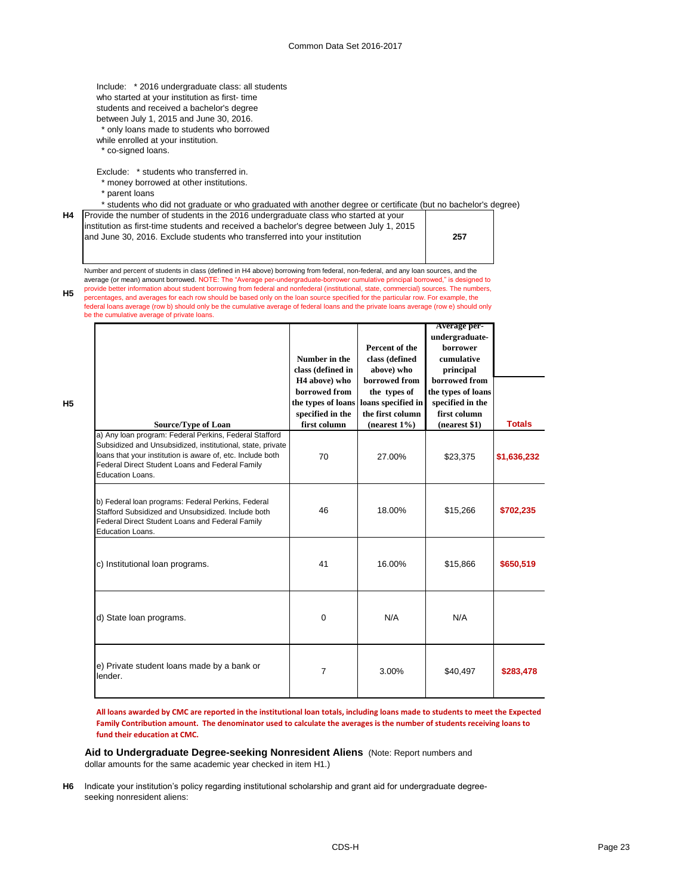Include: \* 2016 undergraduate class: all students who started at your institution as first- time students and received a bachelor's degree between July 1, 2015 and June 30, 2016.

\* only loans made to students who borrowed

- while enrolled at your institution.
- \* co-signed loans.

Exclude: \* students who transferred in.

\* money borrowed at other institutions.

be the cumulative average of private loans.

\* parent loans

**H5**

\* students who did not graduate or who graduated with another degree or certificate (but no bachelor's degree)

| H4   Provide the number of students in the 2016 undergraduate class who started at your  |
|------------------------------------------------------------------------------------------|
| institution as first-time students and received a bachelor's degree between July 1, 2015 |
| and June 30, 2016. Exclude students who transferred into your institution                |

**257**

**H5** Number and percent of students in class (defined in H4 above) borrowing from federal, non-federal, and any loan sources, and the average (or mean) amount borrowed. NOTE: The "Average per-undergraduate-borrower cumulative principal borrowed," is designed to provide better information about student borrowing from federal and nonfederal (institutional, state, commercial) sources. The numbers, percentages, and averages for each row should be based only on the loan source specified for the particular row. For example, the federal loans average (row b) should only be the cumulative average of federal loans and the private loans average (row e) should only

| <b>Source/Type of Loan</b>                                                                                                                                                                                                                                | Number in the<br>class (defined in<br>H <sub>4</sub> above) who<br>borrowed from<br>the types of loans<br>specified in the<br>first column | Percent of the<br>class (defined<br>above) who<br>borrowed from<br>the types of<br>loans specified in<br>the first column<br>(nearest $1\%$ ) | <b>Average per-</b><br>undergraduate-<br>borrower<br>cumulative<br>principal<br>borrowed from<br>the types of loans<br>specified in the<br>first column<br>(nearest \$1) | <b>Totals</b> |
|-----------------------------------------------------------------------------------------------------------------------------------------------------------------------------------------------------------------------------------------------------------|--------------------------------------------------------------------------------------------------------------------------------------------|-----------------------------------------------------------------------------------------------------------------------------------------------|--------------------------------------------------------------------------------------------------------------------------------------------------------------------------|---------------|
| a) Any loan program: Federal Perkins, Federal Stafford<br>Subsidized and Unsubsidized, institutional, state, private<br>loans that your institution is aware of, etc. Include both<br>Federal Direct Student Loans and Federal Family<br>Education Loans. | 70                                                                                                                                         | 27.00%                                                                                                                                        | \$23,375                                                                                                                                                                 | \$1,636,232   |
| b) Federal loan programs: Federal Perkins, Federal<br>Stafford Subsidized and Unsubsidized. Include both<br>Federal Direct Student Loans and Federal Family<br>Education Loans.                                                                           | 46                                                                                                                                         | 18.00%                                                                                                                                        | \$15,266                                                                                                                                                                 | \$702,235     |
| c) Institutional loan programs.                                                                                                                                                                                                                           | 41                                                                                                                                         | 16.00%                                                                                                                                        | \$15,866                                                                                                                                                                 | \$650,519     |
| d) State loan programs.                                                                                                                                                                                                                                   | 0                                                                                                                                          | N/A                                                                                                                                           | N/A                                                                                                                                                                      |               |
| e) Private student loans made by a bank or<br>lender.                                                                                                                                                                                                     | $\overline{7}$                                                                                                                             | 3.00%                                                                                                                                         | \$40,497                                                                                                                                                                 | \$283,478     |

**All loans awarded by CMC are reported in the institutional loan totals, including loans made to students to meet the Expected Family Contribution amount. The denominator used to calculate the averages is the number of students receiving loans to fund their education at CMC.**

**Aid to Undergraduate Degree-seeking Nonresident Aliens** (Note: Report numbers and dollar amounts for the same academic year checked in item H1.)

**H6** Indicate your institution's policy regarding institutional scholarship and grant aid for undergraduate degreeseeking nonresident aliens: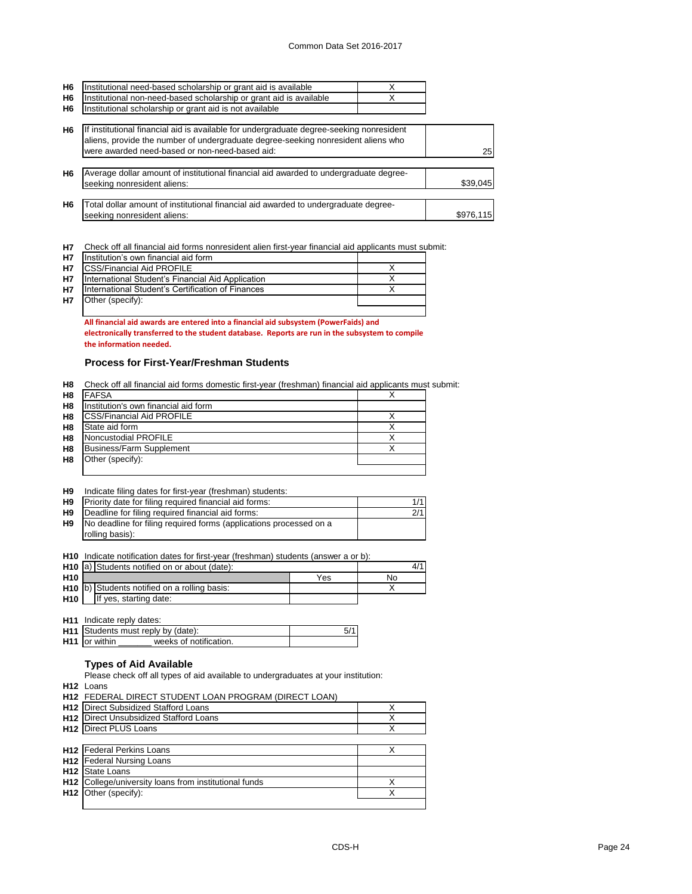| H <sub>6</sub> | Institutional need-based scholarship or grant aid is available                           |           |
|----------------|------------------------------------------------------------------------------------------|-----------|
| H <sub>6</sub> | Institutional non-need-based scholarship or grant aid is available                       |           |
| H <sub>6</sub> | Institutional scholarship or grant aid is not available                                  |           |
|                |                                                                                          |           |
| H <sub>6</sub> | If institutional financial aid is available for undergraduate degree-seeking nonresident |           |
|                | aliens, provide the number of undergraduate degree-seeking nonresident aliens who        |           |
|                | were awarded need-based or non-need-based aid:                                           | 25        |
|                |                                                                                          |           |
| H <sub>6</sub> | Average dollar amount of institutional financial aid awarded to undergraduate degree-    |           |
|                | seeking nonresident aliens:                                                              | \$39,045  |
|                |                                                                                          |           |
| H <sub>6</sub> | Total dollar amount of institutional financial aid awarded to undergraduate degree-      |           |
|                | seeking nonresident aliens:                                                              | \$976,115 |
|                |                                                                                          |           |

**H7** Check off all financial aid forms nonresident alien first-year financial aid applicants must submit:

| <b>H7</b> | Institution's own financial aid form              |  |
|-----------|---------------------------------------------------|--|
| <b>H7</b> | <b>CSS/Financial Aid PROFILE</b>                  |  |
| <b>H7</b> | International Student's Financial Aid Application |  |
| <b>H7</b> | International Student's Certification of Finances |  |
| <b>H7</b> | Other (specify):                                  |  |
|           |                                                   |  |

**All financial aid awards are entered into a financial aid subsystem (PowerFaids) and electronically transferred to the student database. Reports are run in the subsystem to compile the information needed.** 

### **Process for First-Year/Freshman Students**

**H8** Check off all financial aid forms domestic first-year (freshman) financial aid applicants must submit:

| H <sub>8</sub> | <b>FAFSA</b>                         |  |
|----------------|--------------------------------------|--|
| H <sub>8</sub> | Institution's own financial aid form |  |
| H <sub>8</sub> | <b>CSS/Financial Aid PROFILE</b>     |  |
| H <sub>8</sub> | State aid form                       |  |
| H <sub>8</sub> | Noncustodial PROFILE                 |  |
| H <sub>8</sub> | <b>Business/Farm Supplement</b>      |  |
| H <sub>8</sub> | Other (specify):                     |  |
|                |                                      |  |

| H <sub>9</sub> | Indicate filing dates for first-year (freshman) students: |  |  |  |
|----------------|-----------------------------------------------------------|--|--|--|
|----------------|-----------------------------------------------------------|--|--|--|

| H <sub>9</sub> | Priority date for filing required financial aid forms:             | 1/1 |
|----------------|--------------------------------------------------------------------|-----|
| H9             | Deadline for filing required financial aid forms:                  | 2/1 |
| H9             | No deadline for filing required forms (applications processed on a |     |
|                | rolling basis):                                                    |     |

**H10** Indicate notification dates for first-year (freshman) students (answer a or b):

|            | H <sub>10</sub> a) Students notified on or about (date): |                                              |     |    |
|------------|----------------------------------------------------------|----------------------------------------------|-----|----|
| <b>H10</b> |                                                          |                                              | Yes | No |
|            |                                                          | H10 b) Students notified on a rolling basis: |     |    |
| <b>H10</b> |                                                          | If yes, starting date:                       |     |    |

**H11** Indicate reply dates:

| <b>H11</b> Students must reply by (date):       |  |
|-------------------------------------------------|--|
| <b>H11</b> for within<br>weeks of notification. |  |

### **Types of Aid Available**

Please check off all types of aid available to undergraduates at your institution:

**H12** Loans

|                 | H12 FEDERAL DIRECT STUDENT LOAN PROGRAM (DIRECT LOAN) |   |
|-----------------|-------------------------------------------------------|---|
|                 | <b>H12</b> Direct Subsidized Stafford Loans           | X |
| H <sub>12</sub> | Direct Unsubsidized Stafford Loans                    | Χ |
|                 | <b>H12 Direct PLUS Loans</b>                          |   |
|                 |                                                       |   |
|                 | <b>H12</b> Federal Perkins Loans                      |   |
|                 | <b>H12</b> Federal Nursing Loans                      |   |
| H <sub>12</sub> | State Loans                                           |   |
| H <sub>12</sub> | College/university loans from institutional funds     | Χ |
| H <sub>12</sub> | Other (specify):                                      | Х |
|                 |                                                       |   |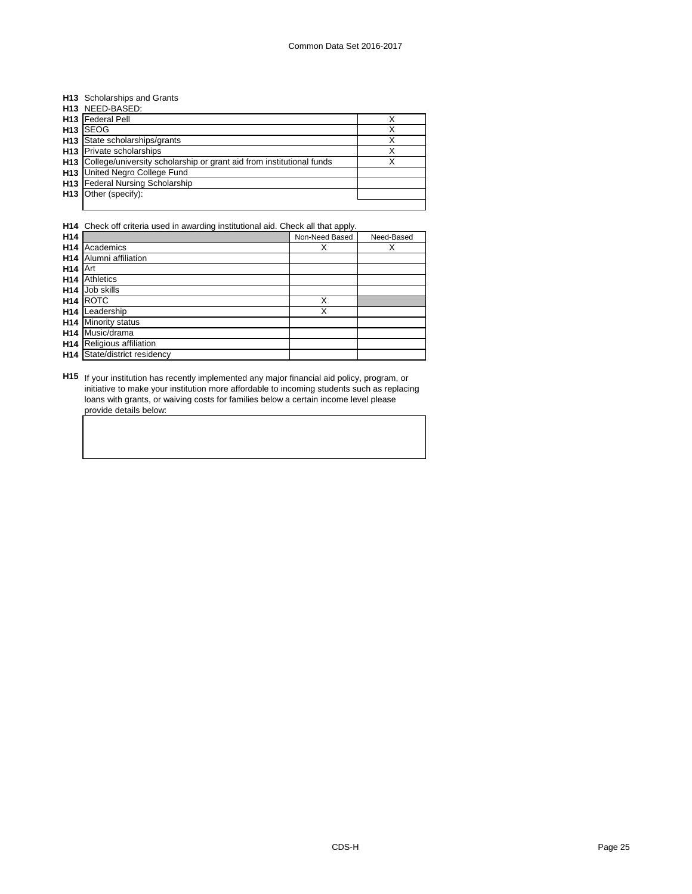### **H13** Scholarships and Grants

| H13 NEED-BASED:                                                          |  |
|--------------------------------------------------------------------------|--|
| H13 Federal Pell                                                         |  |
| H <sub>13</sub> SEOG                                                     |  |
| <b>H13</b> State scholarships/grants                                     |  |
| H13 Private scholarships                                                 |  |
| H13 College/university scholarship or grant aid from institutional funds |  |
| H13 United Negro College Fund                                            |  |
| H13 Federal Nursing Scholarship                                          |  |
| H13 Other (specify):                                                     |  |
|                                                                          |  |

### **H14** Check off criteria used in awarding institutional aid. Check all that apply.

| H14             |                          | Non-Need Based | Need-Based |
|-----------------|--------------------------|----------------|------------|
| H14             | Academics                | Χ              | х          |
| H14             | Alumni affiliation       |                |            |
| H <sub>14</sub> | Art                      |                |            |
| H14             | Athletics                |                |            |
| H14             | Job skills               |                |            |
| H14             | <b>ROTC</b>              | Χ              |            |
| H14             | Leadership               | Χ              |            |
| H14             | <b>Minority status</b>   |                |            |
| H <sub>14</sub> | Music/drama              |                |            |
| H <sub>14</sub> | Religious affiliation    |                |            |
| H14             | State/district residency |                |            |

**H15** If your institution has recently implemented any major financial aid policy, program, or initiative to make your institution more affordable to incoming students such as replacing loans with grants, or waiving costs for families below a certain income level please provide details below: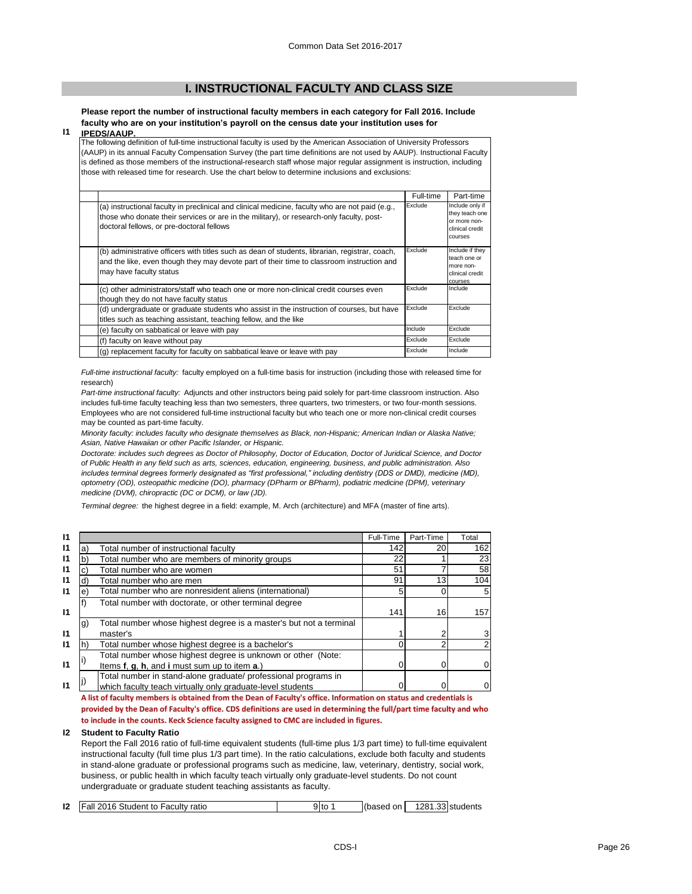### **I. INSTRUCTIONAL FACULTY AND CLASS SIZE**

**Please report the number of instructional faculty members in each category for Fall 2016. Include faculty who are on your institution's payroll on the census date your institution uses for** 

#### **I1 IPEDS/AAUP.**

The following definition of full-time instructional faculty is used by the American Association of University Professors (AAUP) in its annual Faculty Compensation Survey (the part time definitions are not used by AAUP). Instructional Faculty is defined as those members of the instructional-research staff whose major regular assignment is instruction, including those with released time for research. Use the chart below to determine inclusions and exclusions:

|                                                                                                                                                                                                                                          | Full-time | Part-time                                                                       |
|------------------------------------------------------------------------------------------------------------------------------------------------------------------------------------------------------------------------------------------|-----------|---------------------------------------------------------------------------------|
| (a) instructional faculty in preclinical and clinical medicine, faculty who are not paid (e.g.,<br>those who donate their services or are in the military), or research-only faculty, post-<br>doctoral fellows, or pre-doctoral fellows | Exclude   | Include only if<br>they teach one<br>or more non-<br>clinical credit<br>courses |
| (b) administrative officers with titles such as dean of students, librarian, registrar, coach,<br>and the like, even though they may devote part of their time to classroom instruction and<br>may have faculty status                   | Exclude   | Include if they<br>teach one or<br>more non-<br>clinical credit<br>courses      |
| (c) other administrators/staff who teach one or more non-clinical credit courses even<br>though they do not have faculty status                                                                                                          | Exclude   | Include                                                                         |
| (d) undergraduate or graduate students who assist in the instruction of courses, but have<br>titles such as teaching assistant, teaching fellow, and the like                                                                            | Exclude   | Exclude                                                                         |
| (e) faculty on sabbatical or leave with pay                                                                                                                                                                                              | Include   | Exclude                                                                         |
| (f) faculty on leave without pay                                                                                                                                                                                                         | Exclude   | Exclude                                                                         |
| (g) replacement faculty for faculty on sabbatical leave or leave with pay                                                                                                                                                                | Exclude   | Include                                                                         |

*Full-time instructional faculty:* faculty employed on a full-time basis for instruction (including those with released time for research)

*Part-time instructional faculty:* Adjuncts and other instructors being paid solely for part-time classroom instruction. Also includes full-time faculty teaching less than two semesters, three quarters, two trimesters, or two four-month sessions. Employees who are not considered full-time instructional faculty but who teach one or more non-clinical credit courses may be counted as part-time faculty.

*Minority faculty: includes faculty who designate themselves as Black, non-Hispanic; American Indian or Alaska Native; Asian, Native Hawaiian or other Pacific Islander, or Hispanic.* 

*Doctorate: includes such degrees as Doctor of Philosophy, Doctor of Education, Doctor of Juridical Science, and Doctor of Public Health in any field such as arts, sciences, education, engineering, business, and public administration. Also includes terminal degrees formerly designated as "first professional," including dentistry (DDS or DMD), medicine (MD), optometry (OD), osteopathic medicine (DO), pharmacy (DPharm or BPharm), podiatric medicine (DPM), veterinary medicine (DVM), chiropractic (DC or DCM), or law (JD).*

*Terminal degree:* the highest degree in a field: example, M. Arch (architecture) and MFA (master of fine arts).

**I1** Full-Time Part-Time Total **I1** a) Total number of instructional faculty the state of the state of the state of the state of the state of the state of the state of the state of the state of the state of the state of the state of the state of the sta **I1** |b) Total number who are members of minority groups  $\vert$  22 | 1 23 **I1** |c) Total number who are women  $\overline{12}$  **1**  $\overline{51}$   $\overline{7}$  58 **I1** d) Total number who are men **the contract of the contract of the contract of the contract of the contract of the contract of the contract of the contract of the contract of the contract of the contract of the contract I1** e) Total number who are nonresident aliens (international)  $\vert$  5 0 0 5 **I1** f) 141 16 157 **I1** g)  $\begin{array}{ccc} 1 & 2 & 3 \end{array}$ **I1** |h) Total number whose highest degree is a bachelor's  $\begin{bmatrix} 1 & 0 \\ 0 & 2 \end{bmatrix}$  2 **I1**  $\begin{bmatrix} i \end{bmatrix}$  items **f**, **g**, **h**, and **i** must sum up to item **a**.)  $\begin{bmatrix} 1 & 0 \\ 0 & 0 \end{bmatrix}$  0 0 0 **I1** j) which faculty teach virtually only graduate-level students **1999 1999 1999 1999 1999 1999 1999 1999 1999 1999 1999 1999 1999 1999 1999 1999 1999 1999 1999 1999 1999 1999** Total number in stand-alone graduate/ professional programs in Total number with doctorate, or other terminal degree Total number whose highest degree is a master's but not a terminal master's Total number whose highest degree is unknown or other (Note:

**A list of faculty members is obtained from the Dean of Faculty's office. Information on status and credentials is provided by the Dean of Faculty's office. CDS definitions are used in determining the full/part time faculty and who to include in the counts. Keck Science faculty assigned to CMC are included in figures.**

#### **I2 Student to Faculty Ratio**

Report the Fall 2016 ratio of full-time equivalent students (full-time plus 1/3 part time) to full-time equivalent instructional faculty (full time plus 1/3 part time). In the ratio calculations, exclude both faculty and students in stand-alone graduate or professional programs such as medicine, law, veterinary, dentistry, social work, business, or public health in which faculty teach virtually only graduate-level students. Do not count undergraduate or graduate student teaching assistants as faculty.

| <b>Fall 2016 Student to Faculty ratio</b><br>12 | 91to | Ilbased on L | 1281.33 students |
|-------------------------------------------------|------|--------------|------------------|
|-------------------------------------------------|------|--------------|------------------|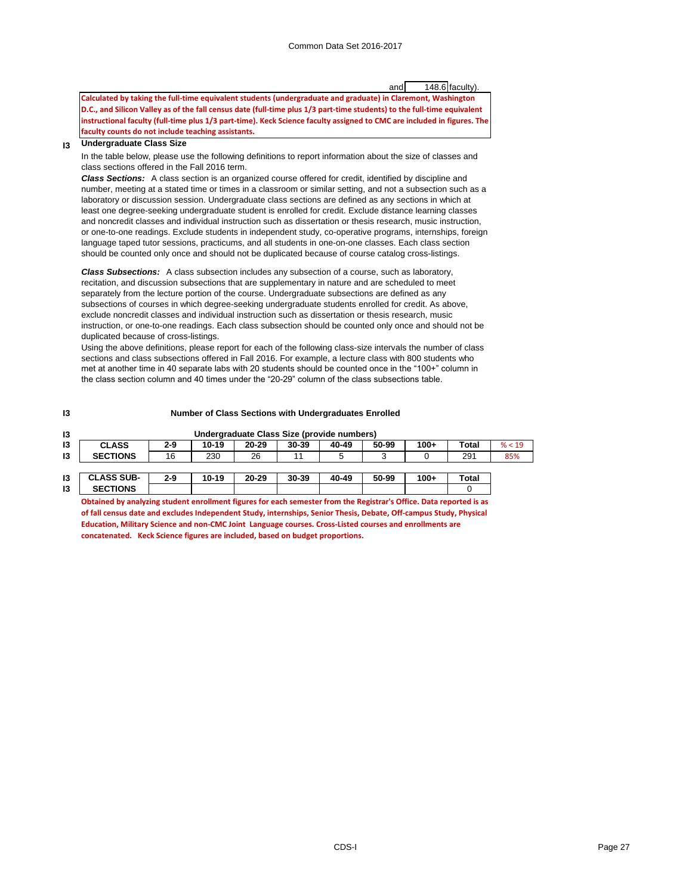and 148.6 faculty).

**Calculated by taking the full-time equivalent students (undergraduate and graduate) in Claremont, Washington D.C., and Silicon Valley as of the fall census date (full-time plus 1/3 part-time students) to the full-time equivalent instructional faculty (full-time plus 1/3 part-time). Keck Science faculty assigned to CMC are included in figures. The faculty counts do not include teaching assistants.** 

#### **I3 Undergraduate Class Size**

In the table below, please use the following definitions to report information about the size of classes and class sections offered in the Fall 2016 term.

*Class Sections:* A class section is an organized course offered for credit, identified by discipline and number, meeting at a stated time or times in a classroom or similar setting, and not a subsection such as a laboratory or discussion session. Undergraduate class sections are defined as any sections in which at least one degree-seeking undergraduate student is enrolled for credit. Exclude distance learning classes and noncredit classes and individual instruction such as dissertation or thesis research, music instruction, or one-to-one readings. Exclude students in independent study, co-operative programs, internships, foreign language taped tutor sessions, practicums, and all students in one-on-one classes. Each class section should be counted only once and should not be duplicated because of course catalog cross-listings.

*Class Subsections:* A class subsection includes any subsection of a course, such as laboratory, recitation, and discussion subsections that are supplementary in nature and are scheduled to meet separately from the lecture portion of the course. Undergraduate subsections are defined as any subsections of courses in which degree-seeking undergraduate students enrolled for credit. As above, exclude noncredit classes and individual instruction such as dissertation or thesis research, music instruction, or one-to-one readings. Each class subsection should be counted only once and should not be duplicated because of cross-listings.

Using the above definitions, please report for each of the following class-size intervals the number of class sections and class subsections offered in Fall 2016. For example, a lecture class with 800 students who met at another time in 40 separate labs with 20 students should be counted once in the "100+" column in the class section column and 40 times under the "20-29" column of the class subsections table.

| I3 |                 |         | <b>Number of Class Sections with Undergraduates Enrolled</b> |           |              |                                            |       |        |              |        |
|----|-----------------|---------|--------------------------------------------------------------|-----------|--------------|--------------------------------------------|-------|--------|--------------|--------|
| I3 |                 |         |                                                              |           |              | Undergraduate Class Size (provide numbers) |       |        |              |        |
| 13 | <b>CLASS</b>    | $2 - 9$ | 10-19                                                        | $20 - 29$ | $30 - 39$    | 40-49                                      | 50-99 | $100+$ | Total        | % < 19 |
| 13 | <b>SECTIONS</b> | 16      | 230                                                          | 26        | 11           |                                            |       |        | 291          | 85%    |
|    |                 |         |                                                              |           |              |                                            |       |        |              |        |
| I9 | CLACC CHD       | ה כ     | 10.10                                                        | הר חר     | <b>20.20</b> | 10.10                                      | EN NO | 100.   | <b>Tatal</b> |        |

|    | I3 CLASS SUB-                                                                                                                                                                                                                           | $2 - 9$ | $10 - 19$ | 20-29 | 30-39 | 40-49 | 50-99 | $100+$ | <b>Total</b> |
|----|-----------------------------------------------------------------------------------------------------------------------------------------------------------------------------------------------------------------------------------------|---------|-----------|-------|-------|-------|-------|--------|--------------|
| 13 | <b>SECTIONS</b>                                                                                                                                                                                                                         |         |           |       |       |       |       |        |              |
|    | Obtained by analyzing student enrollment figures for each semester from the Registrar's Office. Data reported is as<br>of follows would be controlled to depend on Angle Angles about Angles Theodo Release. Afficements Angles Rheeted |         |           |       |       |       |       |        |              |

**of fall census date and excludes Independent Study, internships, Senior Thesis, Debate, Off-campus Study, Physical Education, Military Science and non-CMC Joint Language courses. Cross-Listed courses and enrollments are concatenated. Keck Science figures are included, based on budget proportions.**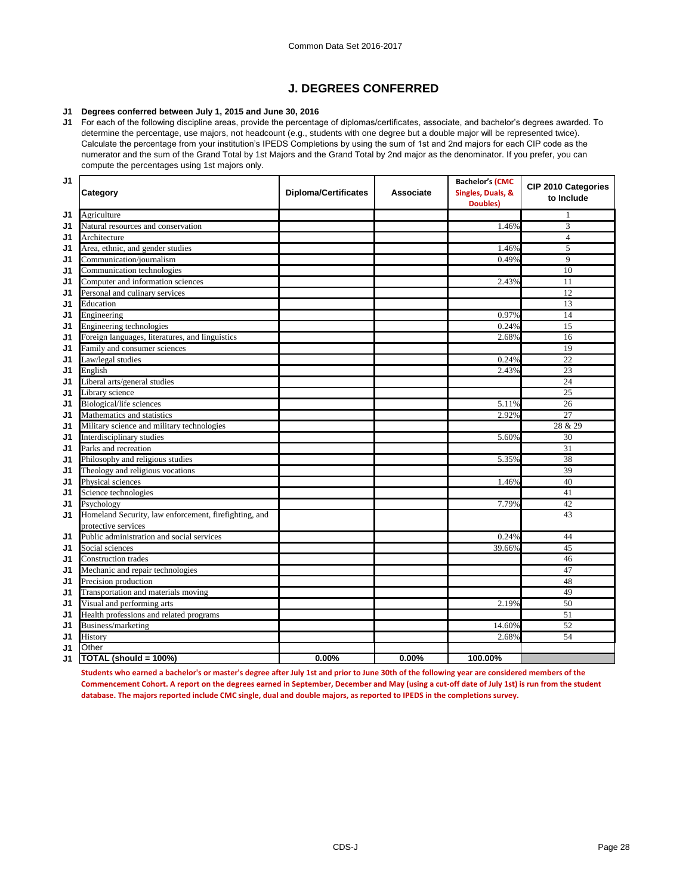## **J. DEGREES CONFERRED**

### **J1 Degrees conferred between July 1, 2015 and June 30, 2016**

**J1** For each of the following discipline areas, provide the percentage of diplomas/certificates, associate, and bachelor's degrees awarded. To determine the percentage, use majors, not headcount (e.g., students with one degree but a double major will be represented twice). Calculate the percentage from your institution's IPEDS Completions by using the sum of 1st and 2nd majors for each CIP code as the numerator and the sum of the Grand Total by 1st Majors and the Grand Total by 2nd major as the denominator. If you prefer, you can compute the percentages using 1st majors only.

| J <sub>1</sub> | Category                                              | <b>Diploma/Certificates</b> | <b>Associate</b> | <b>Bachelor's (CMC</b><br>Singles, Duals, &<br><b>Doubles</b> ) | <b>CIP 2010 Categories</b><br>to Include |
|----------------|-------------------------------------------------------|-----------------------------|------------------|-----------------------------------------------------------------|------------------------------------------|
| J1             | Agriculture                                           |                             |                  |                                                                 |                                          |
| J1             | Natural resources and conservation                    |                             |                  | 1.46%                                                           | 3                                        |
| J <sub>1</sub> | Architecture                                          |                             |                  |                                                                 | 4                                        |
| J1             | Area, ethnic, and gender studies                      |                             |                  | 1.46%                                                           | 5                                        |
| J1             | Communication/journalism                              |                             |                  | 0.49%                                                           | 9                                        |
| J <sub>1</sub> | Communication technologies                            |                             |                  |                                                                 | 10                                       |
| J <sub>1</sub> | Computer and information sciences                     |                             |                  | 2.43%                                                           | 11                                       |
| J <sub>1</sub> | Personal and culinary services                        |                             |                  |                                                                 | 12                                       |
| J <sub>1</sub> | Education                                             |                             |                  |                                                                 | 13                                       |
| J1             | Engineering                                           |                             |                  | 0.97%                                                           | 14                                       |
| J1             | Engineering technologies                              |                             |                  | 0.24%                                                           | 15                                       |
| J <sub>1</sub> | Foreign languages, literatures, and linguistics       |                             |                  | 2.68%                                                           | 16                                       |
| J1             | Family and consumer sciences                          |                             |                  |                                                                 | 19                                       |
| J <sub>1</sub> | Law/legal studies                                     |                             |                  | 0.24%                                                           | 22                                       |
| J <sub>1</sub> | English                                               |                             |                  | 2.43%                                                           | 23                                       |
| J1             | Liberal arts/general studies                          |                             |                  |                                                                 | 24                                       |
| J1             | Library science                                       |                             |                  |                                                                 | 25                                       |
| J1             | <b>Biological/life sciences</b>                       |                             |                  | 5.11%                                                           | 26                                       |
| J <sub>1</sub> | Mathematics and statistics                            |                             |                  | 2.92%                                                           | 27                                       |
| J <sub>1</sub> | Military science and military technologies            |                             |                  |                                                                 | 28 & 29                                  |
| J <sub>1</sub> | Interdisciplinary studies                             |                             |                  | 5.60%                                                           | 30                                       |
| J <sub>1</sub> | Parks and recreation                                  |                             |                  |                                                                 | 31                                       |
| J <sub>1</sub> | Philosophy and religious studies                      |                             |                  | 5.35%                                                           | 38                                       |
| J <sub>1</sub> | Theology and religious vocations                      |                             |                  |                                                                 | 39                                       |
| J <sub>1</sub> | Physical sciences                                     |                             |                  | 1.46%                                                           | 40                                       |
| J1             | Science technologies                                  |                             |                  |                                                                 | 41                                       |
| J <sub>1</sub> | Psychology                                            |                             |                  | 7.79%                                                           | 42                                       |
| J <sub>1</sub> | Homeland Security, law enforcement, firefighting, and |                             |                  |                                                                 | 43                                       |
|                | protective services                                   |                             |                  |                                                                 |                                          |
| J1             | Public administration and social services             |                             |                  | 0.24%                                                           | 44                                       |
| J <sub>1</sub> | Social sciences                                       |                             |                  | 39.66%                                                          | 45                                       |
| J <sub>1</sub> | Construction trades                                   |                             |                  |                                                                 | 46                                       |
| J <sub>1</sub> | Mechanic and repair technologies                      |                             |                  |                                                                 | 47                                       |
| J <sub>1</sub> | Precision production                                  |                             |                  |                                                                 | 48                                       |
| J <sub>1</sub> | Transportation and materials moving                   |                             |                  |                                                                 | 49                                       |
| J <sub>1</sub> | Visual and performing arts                            |                             |                  | 2.19%                                                           | 50                                       |
| J <sub>1</sub> | Health professions and related programs               |                             |                  |                                                                 | 51                                       |
| J <sub>1</sub> | Business/marketing                                    |                             |                  | 14.60%                                                          | 52                                       |
| J <sub>1</sub> | History                                               |                             |                  | 2.68%                                                           | 54                                       |
| J <sub>1</sub> | Other                                                 |                             |                  |                                                                 |                                          |
| J1             | TOTAL (should = 100%)                                 | $0.00\%$                    | 0.00%            | 100.00%                                                         |                                          |

**Students who earned a bachelor's or master's degree after July 1st and prior to June 30th of the following year are considered members of the Commencement Cohort. A report on the degrees earned in September, December and May (using a cut-off date of July 1st) is run from the student database. The majors reported include CMC single, dual and double majors, as reported to IPEDS in the completions survey.**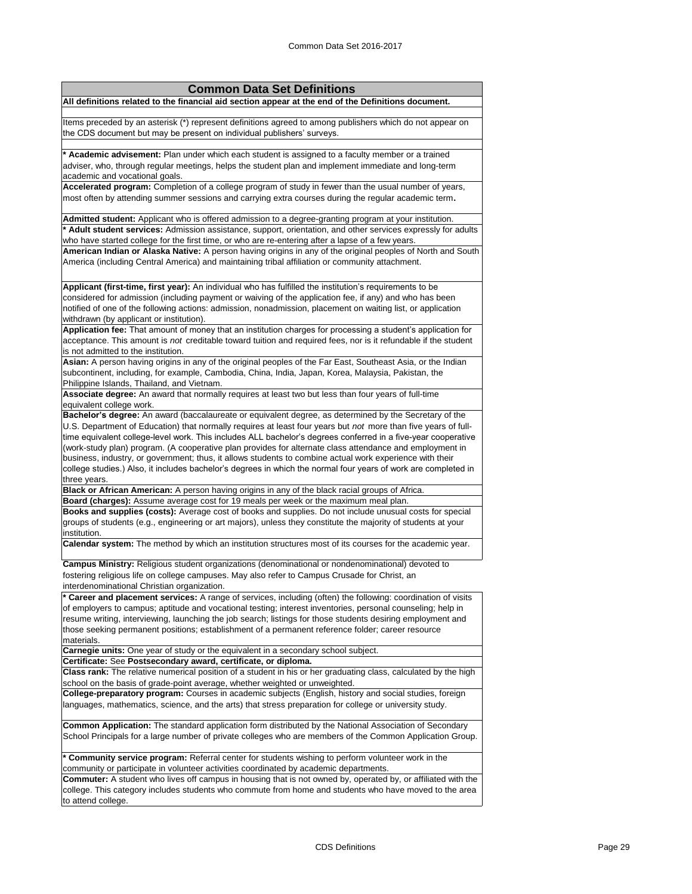| <b>Common Data Set Definitions</b>                                                                                                                                                                                                                                                                                                                                                                                                                                                                                                                                                        |
|-------------------------------------------------------------------------------------------------------------------------------------------------------------------------------------------------------------------------------------------------------------------------------------------------------------------------------------------------------------------------------------------------------------------------------------------------------------------------------------------------------------------------------------------------------------------------------------------|
| All definitions related to the financial aid section appear at the end of the Definitions document.                                                                                                                                                                                                                                                                                                                                                                                                                                                                                       |
| Items preceded by an asterisk (*) represent definitions agreed to among publishers which do not appear on<br>the CDS document but may be present on individual publishers' surveys.                                                                                                                                                                                                                                                                                                                                                                                                       |
| * Academic advisement: Plan under which each student is assigned to a faculty member or a trained<br>adviser, who, through regular meetings, helps the student plan and implement immediate and long-term<br>academic and vocational goals.<br>Accelerated program: Completion of a college program of study in fewer than the usual number of years,<br>most often by attending summer sessions and carrying extra courses during the regular academic term.                                                                                                                             |
| Admitted student: Applicant who is offered admission to a degree-granting program at your institution.                                                                                                                                                                                                                                                                                                                                                                                                                                                                                    |
| * Adult student services: Admission assistance, support, orientation, and other services expressly for adults<br>who have started college for the first time, or who are re-entering after a lapse of a few years.<br>American Indian or Alaska Native: A person having origins in any of the original peoples of North and South<br>America (including Central America) and maintaining tribal affiliation or community attachment.                                                                                                                                                      |
| Applicant (first-time, first year): An individual who has fulfilled the institution's requirements to be<br>considered for admission (including payment or waiving of the application fee, if any) and who has been<br>notified of one of the following actions: admission, nonadmission, placement on waiting list, or application<br>withdrawn (by applicant or institution).<br>Application fee: That amount of money that an institution charges for processing a student's application for                                                                                           |
| acceptance. This amount is not creditable toward tuition and required fees, nor is it refundable if the student<br>is not admitted to the institution.                                                                                                                                                                                                                                                                                                                                                                                                                                    |
| Asian: A person having origins in any of the original peoples of the Far East, Southeast Asia, or the Indian<br>subcontinent, including, for example, Cambodia, China, India, Japan, Korea, Malaysia, Pakistan, the<br>Philippine Islands, Thailand, and Vietnam.                                                                                                                                                                                                                                                                                                                         |
| Associate degree: An award that normally requires at least two but less than four years of full-time<br>equivalent college work.                                                                                                                                                                                                                                                                                                                                                                                                                                                          |
| Bachelor's degree: An award (baccalaureate or equivalent degree, as determined by the Secretary of the                                                                                                                                                                                                                                                                                                                                                                                                                                                                                    |
| U.S. Department of Education) that normally requires at least four years but not more than five years of full-<br>time equivalent college-level work. This includes ALL bachelor's degrees conferred in a five-year cooperative<br>(work-study plan) program. (A cooperative plan provides for alternate class attendance and employment in<br>business, industry, or government; thus, it allows students to combine actual work experience with their<br>college studies.) Also, it includes bachelor's degrees in which the normal four years of work are completed in<br>three years. |
| Black or African American: A person having origins in any of the black racial groups of Africa.                                                                                                                                                                                                                                                                                                                                                                                                                                                                                           |
| Board (charges): Assume average cost for 19 meals per week or the maximum meal plan.<br>Books and supplies (costs): Average cost of books and supplies. Do not include unusual costs for special<br>groups of students (e.g., engineering or art majors), unless they constitute the majority of students at your<br>institution.                                                                                                                                                                                                                                                         |
| Calendar system: The method by which an institution structures most of its courses for the academic year.                                                                                                                                                                                                                                                                                                                                                                                                                                                                                 |
| Campus Ministry: Religious student organizations (denominational or nondenominational) devoted to<br>fostering religious life on college campuses. May also refer to Campus Crusade for Christ, an<br>interdenominational Christian organization.                                                                                                                                                                                                                                                                                                                                         |
| * Career and placement services: A range of services, including (often) the following: coordination of visits<br>of employers to campus; aptitude and vocational testing; interest inventories, personal counseling; help in<br>resume writing, interviewing, launching the job search; listings for those students desiring employment and<br>those seeking permanent positions; establishment of a permanent reference folder; career resource<br>materials.                                                                                                                            |
| Carnegie units: One year of study or the equivalent in a secondary school subject.                                                                                                                                                                                                                                                                                                                                                                                                                                                                                                        |
| Certificate: See Postsecondary award, certificate, or diploma.<br>Class rank: The relative numerical position of a student in his or her graduating class, calculated by the high<br>school on the basis of grade-point average, whether weighted or unweighted.                                                                                                                                                                                                                                                                                                                          |
| College-preparatory program: Courses in academic subjects (English, history and social studies, foreign<br>languages, mathematics, science, and the arts) that stress preparation for college or university study.                                                                                                                                                                                                                                                                                                                                                                        |
| Common Application: The standard application form distributed by the National Association of Secondary<br>School Principals for a large number of private colleges who are members of the Common Application Group.                                                                                                                                                                                                                                                                                                                                                                       |
| * Community service program: Referral center for students wishing to perform volunteer work in the<br>community or participate in volunteer activities coordinated by academic departments.                                                                                                                                                                                                                                                                                                                                                                                               |
| Commuter: A student who lives off campus in housing that is not owned by, operated by, or affiliated with the<br>college. This category includes students who commute from home and students who have moved to the area<br>to attend college.                                                                                                                                                                                                                                                                                                                                             |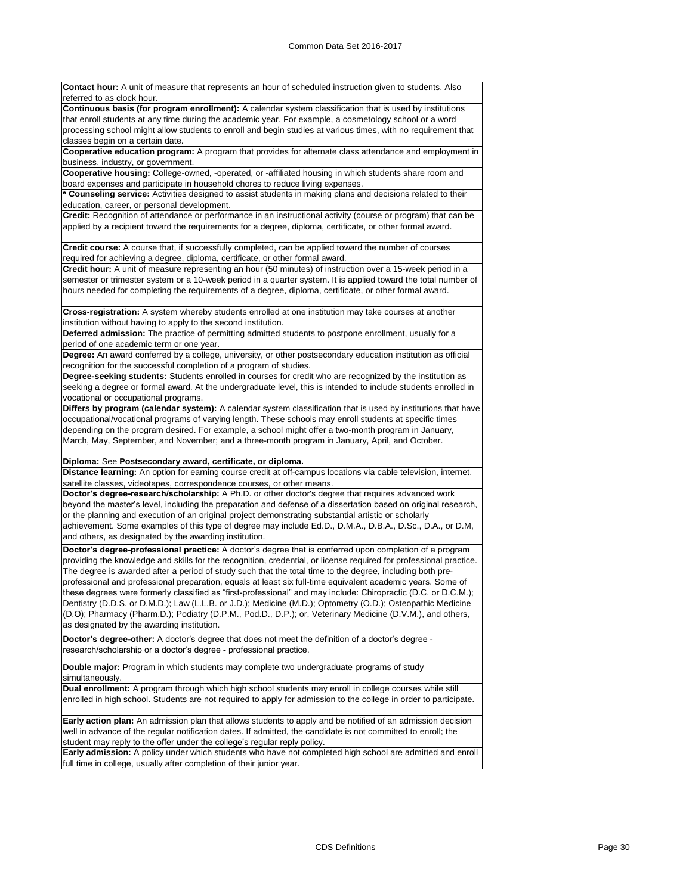**Contact hour:** A unit of measure that represents an hour of scheduled instruction given to students. Also referred to as clock hour.

**Continuous basis (for program enrollment):** A calendar system classification that is used by institutions that enroll students at any time during the academic year. For example, a cosmetology school or a word processing school might allow students to enroll and begin studies at various times, with no requirement that classes begin on a certain date.

**Cooperative education program:** A program that provides for alternate class attendance and employment in business, industry, or government.

**Cooperative housing:** College-owned, -operated, or -affiliated housing in which students share room and board expenses and participate in household chores to reduce living expenses.

**\* Counseling service:** Activities designed to assist students in making plans and decisions related to their education, career, or personal development.

**Credit:** Recognition of attendance or performance in an instructional activity (course or program) that can be applied by a recipient toward the requirements for a degree, diploma, certificate, or other formal award.

**Credit course:** A course that, if successfully completed, can be applied toward the number of courses required for achieving a degree, diploma, certificate, or other formal award.

**Credit hour:** A unit of measure representing an hour (50 minutes) of instruction over a 15-week period in a semester or trimester system or a 10-week period in a quarter system. It is applied toward the total number of hours needed for completing the requirements of a degree, diploma, certificate, or other formal award.

**Cross-registration:** A system whereby students enrolled at one institution may take courses at another institution without having to apply to the second institution.

**Deferred admission:** The practice of permitting admitted students to postpone enrollment, usually for a period of one academic term or one year.

**Degree:** An award conferred by a college, university, or other postsecondary education institution as official recognition for the successful completion of a program of studies.

**Degree-seeking students:** Students enrolled in courses for credit who are recognized by the institution as seeking a degree or formal award. At the undergraduate level, this is intended to include students enrolled in vocational or occupational programs.

**Differs by program (calendar system):** A calendar system classification that is used by institutions that have occupational/vocational programs of varying length. These schools may enroll students at specific times depending on the program desired. For example, a school might offer a two-month program in January, March, May, September, and November; and a three-month program in January, April, and October.

**Diploma:** See **Postsecondary award, certificate, or diploma.**

**Distance learning:** An option for earning course credit at off-campus locations via cable television, internet, satellite classes, videotapes, correspondence courses, or other means.

**Doctor's degree-research/scholarship:** A Ph.D. or other doctor's degree that requires advanced work beyond the master's level, including the preparation and defense of a dissertation based on original research, or the planning and execution of an original project demonstrating substantial artistic or scholarly achievement. Some examples of this type of degree may include Ed.D., D.M.A., D.B.A., D.Sc., D.A., or D.M, and others, as designated by the awarding institution.

**Doctor's degree-professional practice:** A doctor's degree that is conferred upon completion of a program providing the knowledge and skills for the recognition, credential, or license required for professional practice. The degree is awarded after a period of study such that the total time to the degree, including both preprofessional and professional preparation, equals at least six full-time equivalent academic years. Some of these degrees were formerly classified as "first-professional" and may include: Chiropractic (D.C. or D.C.M.); Dentistry (D.D.S. or D.M.D.); Law (L.L.B. or J.D.); Medicine (M.D.); Optometry (O.D.); Osteopathic Medicine (D.O); Pharmacy (Pharm.D.); Podiatry (D.P.M., Pod.D., D.P.); or, Veterinary Medicine (D.V.M.), and others, as designated by the awarding institution.

**Doctor's degree-other:** A doctor's degree that does not meet the definition of a doctor's degree research/scholarship or a doctor's degree - professional practice.

**Double major:** Program in which students may complete two undergraduate programs of study simultaneously.

**Dual enrollment:** A program through which high school students may enroll in college courses while still enrolled in high school. Students are not required to apply for admission to the college in order to participate.

**Early action plan:** An admission plan that allows students to apply and be notified of an admission decision well in advance of the regular notification dates. If admitted, the candidate is not committed to enroll; the student may reply to the offer under the college's regular reply policy.

**Early admission:** A policy under which students who have not completed high school are admitted and enroll full time in college, usually after completion of their junior year.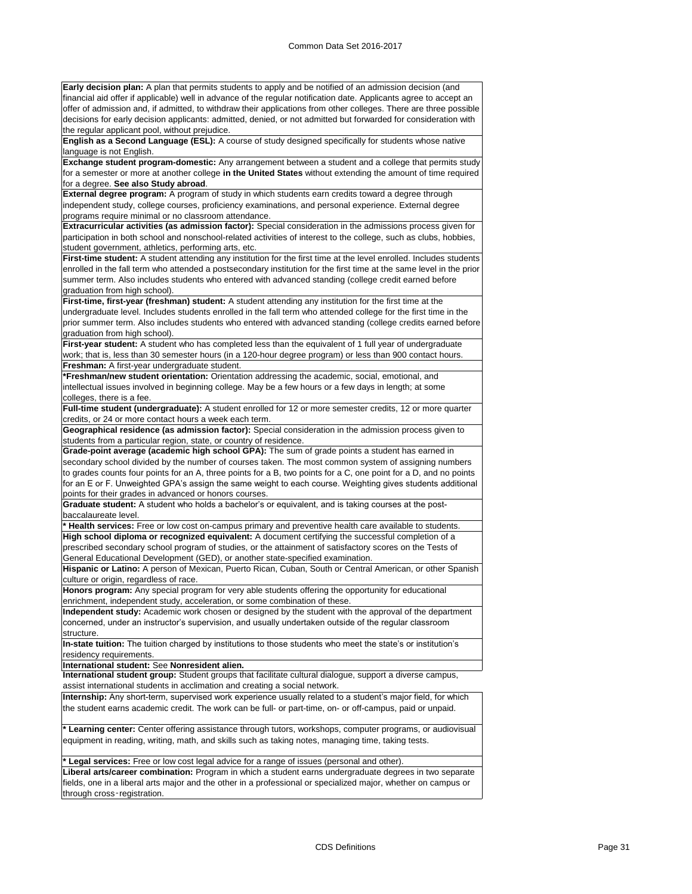**Early decision plan:** A plan that permits students to apply and be notified of an admission decision (and financial aid offer if applicable) well in advance of the regular notification date. Applicants agree to accept an offer of admission and, if admitted, to withdraw their applications from other colleges. There are three possible decisions for early decision applicants: admitted, denied, or not admitted but forwarded for consideration with the regular applicant pool, without prejudice.

**English as a Second Language (ESL):** A course of study designed specifically for students whose native language is not English.

**Exchange student program-domestic:** Any arrangement between a student and a college that permits study for a semester or more at another college **in the United States** without extending the amount of time required for a degree. **See also Study abroad**.

**External degree program:** A program of study in which students earn credits toward a degree through independent study, college courses, proficiency examinations, and personal experience. External degree programs require minimal or no classroom attendance.

**Extracurricular activities (as admission factor):** Special consideration in the admissions process given for participation in both school and nonschool-related activities of interest to the college, such as clubs, hobbies, student government, athletics, performing arts, etc.

**First-time student:** A student attending any institution for the first time at the level enrolled. Includes students enrolled in the fall term who attended a postsecondary institution for the first time at the same level in the prior summer term. Also includes students who entered with advanced standing (college credit earned before graduation from high school).

**First-time, first-year (freshman) student:** A student attending any institution for the first time at the undergraduate level. Includes students enrolled in the fall term who attended college for the first time in the prior summer term. Also includes students who entered with advanced standing (college credits earned before graduation from high school).

**First-year student:** A student who has completed less than the equivalent of 1 full year of undergraduate work; that is, less than 30 semester hours (in a 120-hour degree program) or less than 900 contact hours. **Freshman:** A first-year undergraduate student.

**\*Freshman/new student orientation:** Orientation addressing the academic, social, emotional, and intellectual issues involved in beginning college. May be a few hours or a few days in length; at some colleges, there is a fee.

**Full-time student (undergraduate):** A student enrolled for 12 or more semester credits, 12 or more quarter credits, or 24 or more contact hours a week each term.

**Geographical residence (as admission factor):** Special consideration in the admission process given to students from a particular region, state, or country of residence.

**Grade-point average (academic high school GPA):** The sum of grade points a student has earned in secondary school divided by the number of courses taken. The most common system of assigning numbers to grades counts four points for an A, three points for a B, two points for a C, one point for a D, and no points for an E or F. Unweighted GPA's assign the same weight to each course. Weighting gives students additional points for their grades in advanced or honors courses.

**Graduate student:** A student who holds a bachelor's or equivalent, and is taking courses at the postbaccalaureate level.

**\* Health services:** Free or low cost on-campus primary and preventive health care available to students. **High school diploma or recognized equivalent:** A document certifying the successful completion of a prescribed secondary school program of studies, or the attainment of satisfactory scores on the Tests of General Educational Development (GED), or another state-specified examination.

**Hispanic or Latino:** A person of Mexican, Puerto Rican, Cuban, South or Central American, or other Spanish culture or origin, regardless of race.

**Honors program:** Any special program for very able students offering the opportunity for educational enrichment, independent study, acceleration, or some combination of these.

**Independent study:** Academic work chosen or designed by the student with the approval of the department concerned, under an instructor's supervision, and usually undertaken outside of the regular classroom structure.

**In-state tuition:** The tuition charged by institutions to those students who meet the state's or institution's residency requirements.

**International student:** See **Nonresident alien.**

**International student group:** Student groups that facilitate cultural dialogue, support a diverse campus, assist international students in acclimation and creating a social network.

**Internship:** Any short-term, supervised work experience usually related to a student's major field, for which the student earns academic credit. The work can be full- or part-time, on- or off-campus, paid or unpaid.

**Learning center:** Center offering assistance through tutors, workshops, computer programs, or audiovisual equipment in reading, writing, math, and skills such as taking notes, managing time, taking tests.

**gal services:** Free or low cost legal advice for a range of issues (personal and other) **Liberal arts/career combination:** Program in which a student earns undergraduate degrees in two separate fields, one in a liberal arts major and the other in a professional or specialized major, whether on campus or through cross‑registration.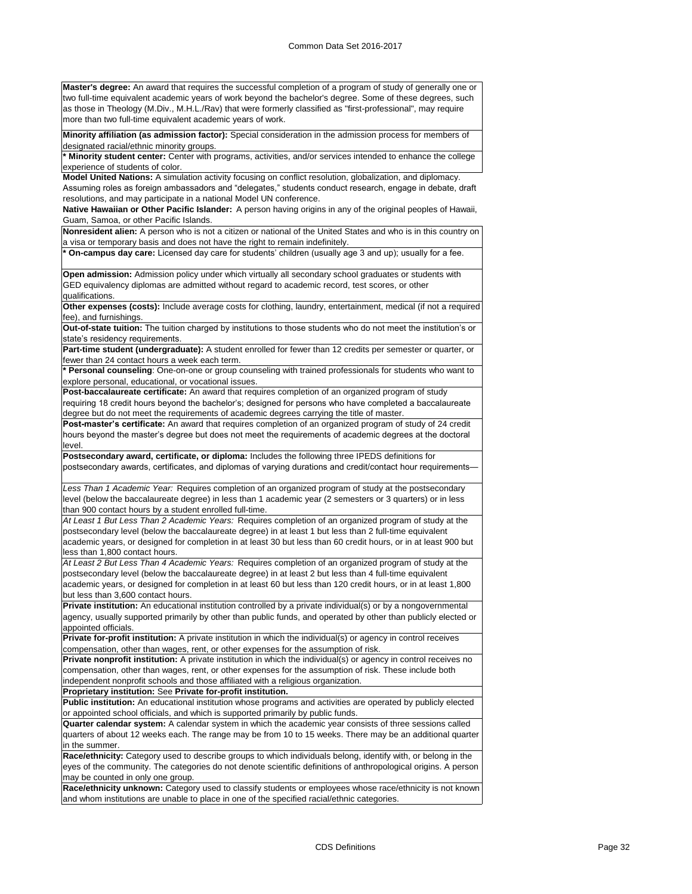**Master's degree:** An award that requires the successful completion of a program of study of generally one or two full-time equivalent academic years of work beyond the bachelor's degree. Some of these degrees, such as those in Theology (M.Div., M.H.L./Rav) that were formerly classified as "first-professional", may require more than two full-time equivalent academic years of work.

**Minority affiliation (as admission factor):** Special consideration in the admission process for members of designated racial/ethnic minority groups.

**\* Minority student center:** Center with programs, activities, and/or services intended to enhance the college experience of students of color.

**Model United Nations:** A simulation activity focusing on conflict resolution, globalization, and diplomacy. Assuming roles as foreign ambassadors and "delegates," students conduct research, engage in debate, draft resolutions, and may participate in a national Model UN conference.

**Native Hawaiian or Other Pacific Islander:** A person having origins in any of the original peoples of Hawaii, Guam, Samoa, or other Pacific Islands.

**Nonresident alien:** A person who is not a citizen or national of the United States and who is in this country on a visa or temporary basis and does not have the right to remain indefinitely.

**\* On-campus day care:** Licensed day care for students' children (usually age 3 and up); usually for a fee.

**Open admission:** Admission policy under which virtually all secondary school graduates or students with GED equivalency diplomas are admitted without regard to academic record, test scores, or other qualifications.

**Other expenses (costs):** Include average costs for clothing, laundry, entertainment, medical (if not a required fee), and furnishings.

**Out-of-state tuition:** The tuition charged by institutions to those students who do not meet the institution's or state's residency requirements.

**Part-time student (undergraduate):** A student enrolled for fewer than 12 credits per semester or quarter, or fewer than 24 contact hours a week each term.

**\* Personal counseling**: One-on-one or group counseling with trained professionals for students who want to explore personal, educational, or vocational issues.

**Post-baccalaureate certificate:** An award that requires completion of an organized program of study requiring 18 credit hours beyond the bachelor's; designed for persons who have completed a baccalaureate degree but do not meet the requirements of academic degrees carrying the title of master.

**Post-master's certificate:** An award that requires completion of an organized program of study of 24 credit hours beyond the master's degree but does not meet the requirements of academic degrees at the doctoral level.

**Postsecondary award, certificate, or diploma:** Includes the following three IPEDS definitions for postsecondary awards, certificates, and diplomas of varying durations and credit/contact hour requirements—

*Less Than 1 Academic Year:* Requires completion of an organized program of study at the postsecondary level (below the baccalaureate degree) in less than 1 academic year (2 semesters or 3 quarters) or in less than 900 contact hours by a student enrolled full-time.

*At Least 1 But Less Than 2 Academic Years:* Requires completion of an organized program of study at the postsecondary level (below the baccalaureate degree) in at least 1 but less than 2 full-time equivalent academic years, or designed for completion in at least 30 but less than 60 credit hours, or in at least 900 but less than 1,800 contact hours.

*At Least 2 But Less Than 4 Academic Years:* Requires completion of an organized program of study at the postsecondary level (below the baccalaureate degree) in at least 2 but less than 4 full-time equivalent academic years, or designed for completion in at least 60 but less than 120 credit hours, or in at least 1,800 but less than 3,600 contact hours.

**Private institution:** An educational institution controlled by a private individual(s) or by a nongovernmental agency, usually supported primarily by other than public funds, and operated by other than publicly elected or appointed officials.

**Private for-profit institution:** A private institution in which the individual(s) or agency in control receives compensation, other than wages, rent, or other expenses for the assumption of risk.

**Private nonprofit institution:** A private institution in which the individual(s) or agency in control receives no compensation, other than wages, rent, or other expenses for the assumption of risk. These include both independent nonprofit schools and those affiliated with a religious organization.

**Proprietary institution:** See **Private for-profit institution.**

**Public institution:** An educational institution whose programs and activities are operated by publicly elected or appointed school officials, and which is supported primarily by public funds.

**Quarter calendar system:** A calendar system in which the academic year consists of three sessions called quarters of about 12 weeks each. The range may be from 10 to 15 weeks. There may be an additional quarter in the summer.

**Race/ethnicity:** Category used to describe groups to which individuals belong, identify with, or belong in the eyes of the community. The categories do not denote scientific definitions of anthropological origins. A person may be counted in only one group.

**Race/ethnicity unknown:** Category used to classify students or employees whose race/ethnicity is not known and whom institutions are unable to place in one of the specified racial/ethnic categories.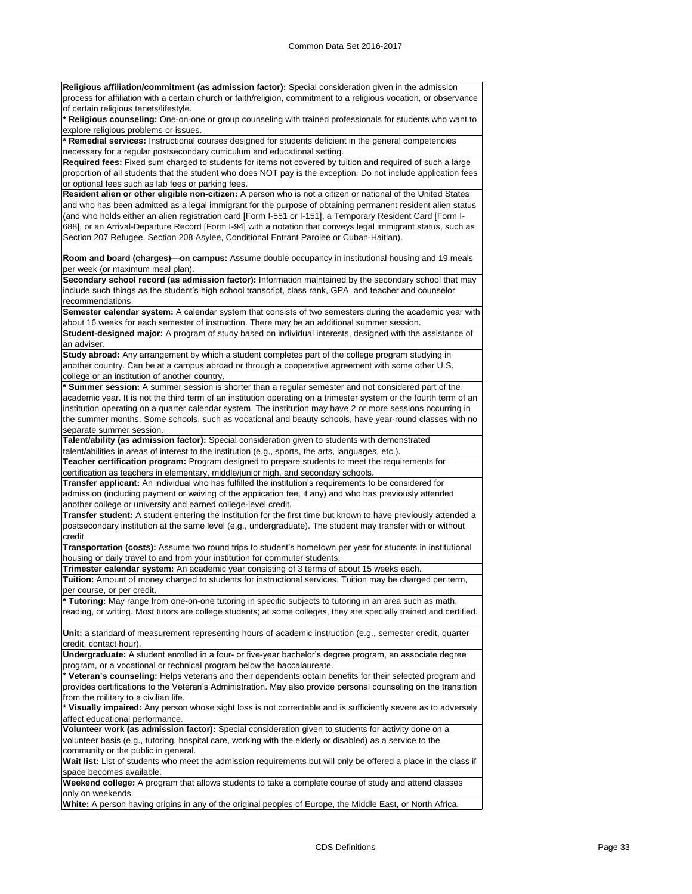| Religious affiliation/commitment (as admission factor): Special consideration given in the admission               |
|--------------------------------------------------------------------------------------------------------------------|
| process for affiliation with a certain church or faith/religion, commitment to a religious vocation, or observance |
| of certain religious tenets/lifestyle.                                                                             |
| * Religious counseling: One-on-one or group counseling with trained professionals for students who want to         |
| explore religious problems or issues.                                                                              |
| * Remedial services: Instructional courses designed for students deficient in the general competencies             |
| necessary for a regular postsecondary curriculum and educational setting.                                          |
| Required fees: Fixed sum charged to students for items not covered by tuition and required of such a large         |
| proportion of all students that the student who does NOT pay is the exception. Do not include application fees     |
| or optional fees such as lab fees or parking fees.                                                                 |
| Resident alien or other eligible non-citizen: A person who is not a citizen or national of the United States       |
| and who has been admitted as a legal immigrant for the purpose of obtaining permanent resident alien status        |
| (and who holds either an alien registration card [Form I-551 or I-151], a Temporary Resident Card [Form I-         |
| 688], or an Arrival-Departure Record [Form I-94] with a notation that conveys legal immigrant status, such as      |
| Section 207 Refugee, Section 208 Asylee, Conditional Entrant Parolee or Cuban-Haitian).                            |
|                                                                                                                    |
| Room and board (charges)—on campus: Assume double occupancy in institutional housing and 19 meals                  |
| per week (or maximum meal plan).                                                                                   |
| Secondary school record (as admission factor): Information maintained by the secondary school that may             |
|                                                                                                                    |
| include such things as the student's high school transcript, class rank, GPA, and teacher and counselor            |
| recommendations.                                                                                                   |
| Semester calendar system: A calendar system that consists of two semesters during the academic year with           |
| about 16 weeks for each semester of instruction. There may be an additional summer session.                        |
| Student-designed major: A program of study based on individual interests, designed with the assistance of          |
| an adviser.                                                                                                        |
| Study abroad: Any arrangement by which a student completes part of the college program studying in                 |
| another country. Can be at a campus abroad or through a cooperative agreement with some other U.S.                 |
| college or an institution of another country.                                                                      |
| * Summer session: A summer session is shorter than a regular semester and not considered part of the               |
| academic year. It is not the third term of an institution operating on a trimester system or the fourth term of an |
| institution operating on a quarter calendar system. The institution may have 2 or more sessions occurring in       |
| the summer months. Some schools, such as vocational and beauty schools, have year-round classes with no            |
| separate summer session.                                                                                           |
| Talent/ability (as admission factor): Special consideration given to students with demonstrated                    |
| talent/abilities in areas of interest to the institution (e.g., sports, the arts, languages, etc.).                |
| Teacher certification program: Program designed to prepare students to meet the requirements for                   |
| certification as teachers in elementary, middle/junior high, and secondary schools.                                |
| Transfer applicant: An individual who has fulfilled the institution's requirements to be considered for            |
| admission (including payment or waiving of the application fee, if any) and who has previously attended            |
| another college or university and earned college-level credit.                                                     |
| Transfer student: A student entering the institution for the first time but known to have previously attended a    |
| postsecondary institution at the same level (e.g., undergraduate). The student may transfer with or without        |
|                                                                                                                    |
| credit.                                                                                                            |
| Transportation (costs): Assume two round trips to student's hometown per year for students in institutional        |
| housing or daily travel to and from your institution for commuter students.                                        |
| Trimester calendar system: An academic year consisting of 3 terms of about 15 weeks each.                          |
| Tuition: Amount of money charged to students for instructional services. Tuition may be charged per term,          |
| per course, or per credit.                                                                                         |
| * Tutoring: May range from one-on-one tutoring in specific subjects to tutoring in an area such as math,           |
| reading, or writing. Most tutors are college students; at some colleges, they are specially trained and certified. |
|                                                                                                                    |
| Unit: a standard of measurement representing hours of academic instruction (e.g., semester credit, quarter         |
| credit, contact hour).                                                                                             |
| Undergraduate: A student enrolled in a four- or five-year bachelor's degree program, an associate degree           |
| program, or a vocational or technical program below the baccalaureate.                                             |
| * Veteran's counseling: Helps veterans and their dependents obtain benefits for their selected program and         |
| provides certifications to the Veteran's Administration. May also provide personal counseling on the transition    |
| from the military to a civilian life.                                                                              |
| * Visually impaired: Any person whose sight loss is not correctable and is sufficiently severe as to adversely     |
| affect educational performance.                                                                                    |
| Volunteer work (as admission factor): Special consideration given to students for activity done on a               |
| volunteer basis (e.g., tutoring, hospital care, working with the elderly or disabled) as a service to the          |
| community or the public in general.                                                                                |
| Wait list: List of students who meet the admission requirements but will only be offered a place in the class if   |
|                                                                                                                    |
| space becomes available.                                                                                           |
| Weekend college: A program that allows students to take a complete course of study and attend classes              |
| only on weekends.                                                                                                  |
| White: A person having origins in any of the original peoples of Europe, the Middle East, or North Africa.         |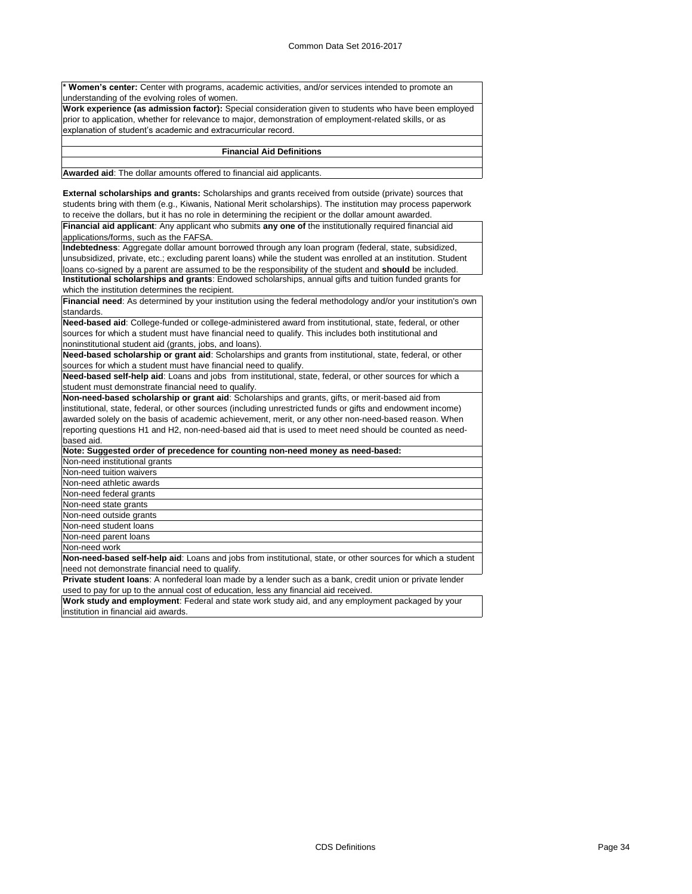**Women's center:** Center with programs, academic activities, and/or services intended to promote an understanding of the evolving roles of women.

**Work experience (as admission factor):** Special consideration given to students who have been employed prior to application, whether for relevance to major, demonstration of employment-related skills, or as explanation of student's academic and extracurricular record.

### **Financial Aid Definitions**

**Awarded aid**: The dollar amounts offered to financial aid applicants.

**External scholarships and grants:** Scholarships and grants received from outside (private) sources that students bring with them (e.g., Kiwanis, National Merit scholarships). The institution may process paperwork to receive the dollars, but it has no role in determining the recipient or the dollar amount awarded.

**Financial aid applicant**: Any applicant who submits **any one of** the institutionally required financial aid applications/forms, such as the FAFSA.

**Indebtedness**: Aggregate dollar amount borrowed through any loan program (federal, state, subsidized, unsubsidized, private, etc.; excluding parent loans) while the student was enrolled at an institution. Student loans co-signed by a parent are assumed to be the responsibility of the student and **should** be included. **Institutional scholarships and grants**: Endowed scholarships, annual gifts and tuition funded grants for which the institution determines the recipient.

**Financial need**: As determined by your institution using the federal methodology and/or your institution's own standards.

**Need-based aid**: College-funded or college-administered award from institutional, state, federal, or other sources for which a student must have financial need to qualify. This includes both institutional and noninstitutional student aid (grants, jobs, and loans).

**Need-based scholarship or grant aid**: Scholarships and grants from institutional, state, federal, or other sources for which a student must have financial need to qualify.

**Need-based self-help aid**: Loans and jobs from institutional, state, federal, or other sources for which a student must demonstrate financial need to qualify.

**Non-need-based scholarship or grant aid**: Scholarships and grants, gifts, or merit-based aid from institutional, state, federal, or other sources (including unrestricted funds or gifts and endowment income) awarded solely on the basis of academic achievement, merit, or any other non-need-based reason. When reporting questions H1 and H2, non-need-based aid that is used to meet need should be counted as needbased aid.

| Note: Suggested order of precedence for counting non-need money as need-based: |
|--------------------------------------------------------------------------------|
| Non-need institutional grants                                                  |
| Non-need tuition waivers                                                       |
| Non-need athletic awards                                                       |
| Non-need federal grants                                                        |
| Non-need state grants                                                          |
| Non-need outside grants                                                        |
| Non-need student loans                                                         |
| Non-need parent loans                                                          |
| Non-need work                                                                  |

**Non-need-based self-help aid**: Loans and jobs from institutional, state, or other sources for which a student need not demonstrate financial need to qualify.

**Private student loans**: A nonfederal loan made by a lender such as a bank, credit union or private lender used to pay for up to the annual cost of education, less any financial aid received.

**Work study and employment**: Federal and state work study aid, and any employment packaged by your institution in financial aid awards.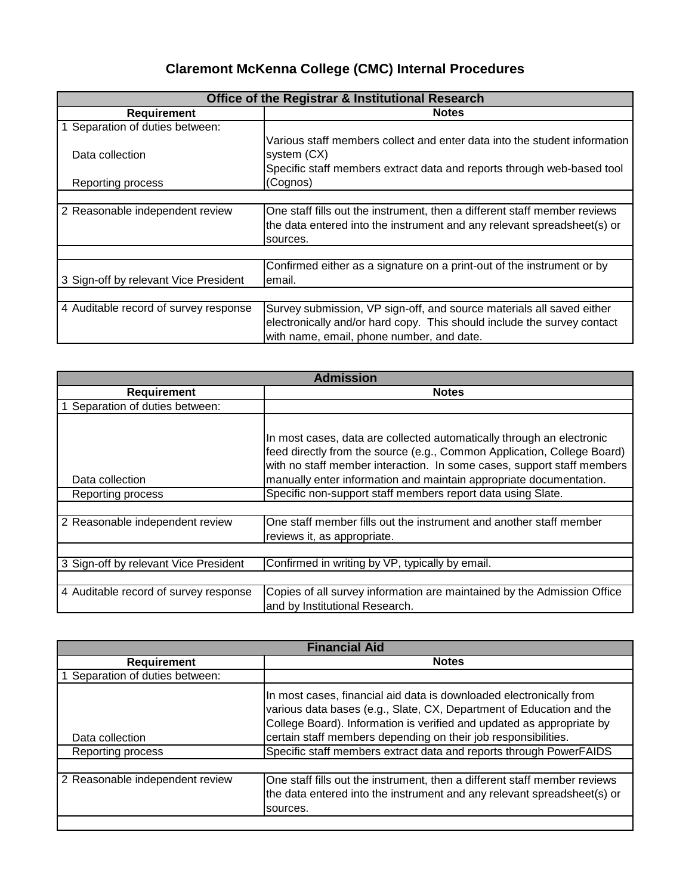# **Claremont McKenna College (CMC) Internal Procedures**

| <b>Office of the Registrar &amp; Institutional Research</b> |                                                                           |  |  |
|-------------------------------------------------------------|---------------------------------------------------------------------------|--|--|
| <b>Requirement</b>                                          | <b>Notes</b>                                                              |  |  |
| 1 Separation of duties between:                             |                                                                           |  |  |
|                                                             | Various staff members collect and enter data into the student information |  |  |
| Data collection                                             | system (CX)                                                               |  |  |
|                                                             | Specific staff members extract data and reports through web-based tool    |  |  |
| Reporting process                                           | (Cognos)                                                                  |  |  |
|                                                             |                                                                           |  |  |
| 2 Reasonable independent review                             | One staff fills out the instrument, then a different staff member reviews |  |  |
|                                                             | the data entered into the instrument and any relevant spreadsheet(s) or   |  |  |
|                                                             | sources.                                                                  |  |  |
|                                                             |                                                                           |  |  |
|                                                             | Confirmed either as a signature on a print-out of the instrument or by    |  |  |
| 3 Sign-off by relevant Vice President                       | lemail.                                                                   |  |  |
|                                                             |                                                                           |  |  |
| 4 Auditable record of survey response                       | Survey submission, VP sign-off, and source materials all saved either     |  |  |
|                                                             | electronically and/or hard copy. This should include the survey contact   |  |  |
|                                                             | with name, email, phone number, and date.                                 |  |  |

| <b>Admission</b>                      |                                                                                                                                                                                                                            |  |  |
|---------------------------------------|----------------------------------------------------------------------------------------------------------------------------------------------------------------------------------------------------------------------------|--|--|
| <b>Requirement</b>                    | <b>Notes</b>                                                                                                                                                                                                               |  |  |
| Separation of duties between:         |                                                                                                                                                                                                                            |  |  |
|                                       | In most cases, data are collected automatically through an electronic<br>feed directly from the source (e.g., Common Application, College Board)<br>with no staff member interaction. In some cases, support staff members |  |  |
| Data collection                       | manually enter information and maintain appropriate documentation.                                                                                                                                                         |  |  |
| Reporting process                     | Specific non-support staff members report data using Slate.                                                                                                                                                                |  |  |
|                                       |                                                                                                                                                                                                                            |  |  |
| 2 Reasonable independent review       | One staff member fills out the instrument and another staff member<br>reviews it, as appropriate.                                                                                                                          |  |  |
|                                       |                                                                                                                                                                                                                            |  |  |
| 3 Sign-off by relevant Vice President | Confirmed in writing by VP, typically by email.                                                                                                                                                                            |  |  |
|                                       |                                                                                                                                                                                                                            |  |  |
| 4 Auditable record of survey response | Copies of all survey information are maintained by the Admission Office<br>and by Institutional Research.                                                                                                                  |  |  |

| <b>Financial Aid</b>            |                                                                                                                                                                                                                                                                                        |  |
|---------------------------------|----------------------------------------------------------------------------------------------------------------------------------------------------------------------------------------------------------------------------------------------------------------------------------------|--|
| <b>Requirement</b>              | <b>Notes</b>                                                                                                                                                                                                                                                                           |  |
| 1 Separation of duties between: |                                                                                                                                                                                                                                                                                        |  |
| Data collection                 | In most cases, financial aid data is downloaded electronically from<br>various data bases (e.g., Slate, CX, Department of Education and the<br>College Board). Information is verified and updated as appropriate by<br>certain staff members depending on their job responsibilities. |  |
| Reporting process               | Specific staff members extract data and reports through PowerFAIDS                                                                                                                                                                                                                     |  |
| 2 Reasonable independent review | One staff fills out the instrument, then a different staff member reviews<br>the data entered into the instrument and any relevant spreadsheet(s) or<br>sources.                                                                                                                       |  |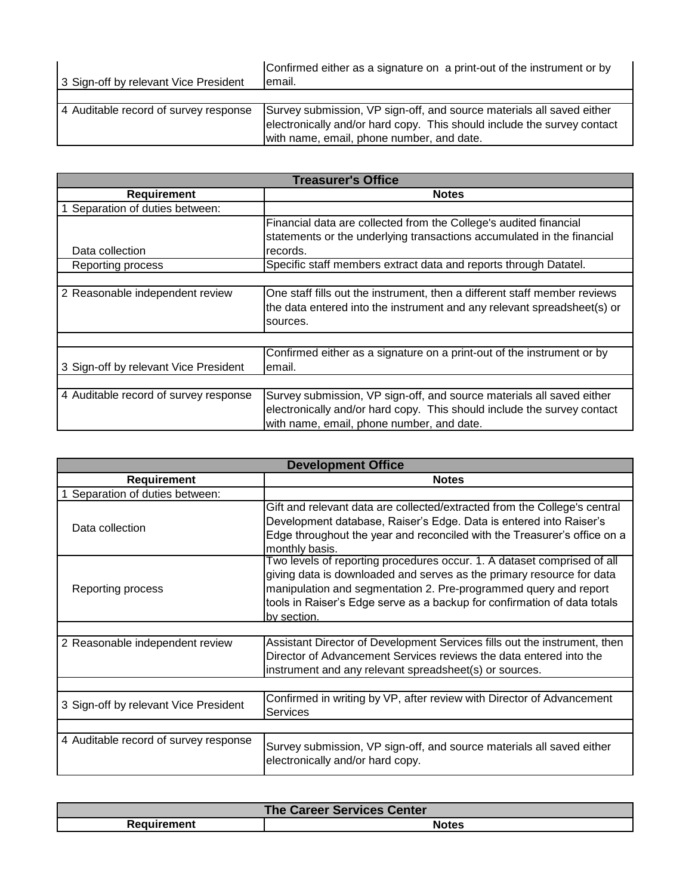| 3 Sign-off by relevant Vice President | Confirmed either as a signature on a print-out of the instrument or by<br>lemail.                                                                                                             |
|---------------------------------------|-----------------------------------------------------------------------------------------------------------------------------------------------------------------------------------------------|
|                                       |                                                                                                                                                                                               |
| 4 Auditable record of survey response | Survey submission, VP sign-off, and source materials all saved either<br>electronically and/or hard copy. This should include the survey contact<br>with name, email, phone number, and date. |

| <b>Treasurer's Office</b>             |                                                                           |  |  |
|---------------------------------------|---------------------------------------------------------------------------|--|--|
| <b>Requirement</b>                    | <b>Notes</b>                                                              |  |  |
| Separation of duties between:         |                                                                           |  |  |
|                                       | Financial data are collected from the College's audited financial         |  |  |
|                                       | statements or the underlying transactions accumulated in the financial    |  |  |
| Data collection                       | records.                                                                  |  |  |
| Reporting process                     | Specific staff members extract data and reports through Datatel.          |  |  |
|                                       |                                                                           |  |  |
| 2 Reasonable independent review       | One staff fills out the instrument, then a different staff member reviews |  |  |
|                                       | the data entered into the instrument and any relevant spreadsheet(s) or   |  |  |
|                                       | sources.                                                                  |  |  |
|                                       |                                                                           |  |  |
|                                       | Confirmed either as a signature on a print-out of the instrument or by    |  |  |
| 3 Sign-off by relevant Vice President | email.                                                                    |  |  |
|                                       |                                                                           |  |  |
| 4 Auditable record of survey response | Survey submission, VP sign-off, and source materials all saved either     |  |  |
|                                       | electronically and/or hard copy. This should include the survey contact   |  |  |
|                                       | with name, email, phone number, and date.                                 |  |  |

| <b>Development Office</b>             |                                                                                                                                                                                                                                                                                                                 |  |  |
|---------------------------------------|-----------------------------------------------------------------------------------------------------------------------------------------------------------------------------------------------------------------------------------------------------------------------------------------------------------------|--|--|
| <b>Requirement</b>                    | <b>Notes</b>                                                                                                                                                                                                                                                                                                    |  |  |
| Separation of duties between:         |                                                                                                                                                                                                                                                                                                                 |  |  |
| Data collection                       | Gift and relevant data are collected/extracted from the College's central<br>Development database, Raiser's Edge. Data is entered into Raiser's<br>Edge throughout the year and reconciled with the Treasurer's office on a<br>monthly basis.                                                                   |  |  |
| Reporting process                     | Two levels of reporting procedures occur. 1. A dataset comprised of all<br>giving data is downloaded and serves as the primary resource for data<br>manipulation and segmentation 2. Pre-programmed query and report<br>tools in Raiser's Edge serve as a backup for confirmation of data totals<br>by section. |  |  |
|                                       |                                                                                                                                                                                                                                                                                                                 |  |  |
| 2 Reasonable independent review       | Assistant Director of Development Services fills out the instrument, then<br>Director of Advancement Services reviews the data entered into the<br>instrument and any relevant spreadsheet(s) or sources.                                                                                                       |  |  |
|                                       |                                                                                                                                                                                                                                                                                                                 |  |  |
| 3 Sign-off by relevant Vice President | Confirmed in writing by VP, after review with Director of Advancement<br><b>Services</b>                                                                                                                                                                                                                        |  |  |
|                                       |                                                                                                                                                                                                                                                                                                                 |  |  |
| 4 Auditable record of survey response | Survey submission, VP sign-off, and source materials all saved either<br>electronically and/or hard copy.                                                                                                                                                                                                       |  |  |

| The Career Services Center |       |  |
|----------------------------|-------|--|
| Reauirement                | Notes |  |